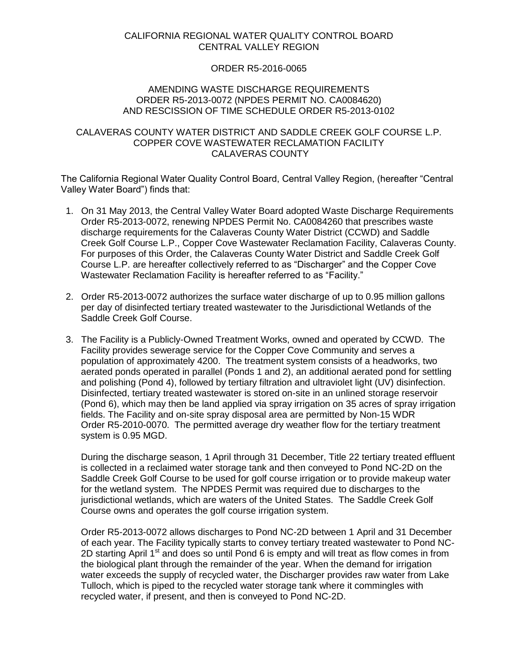# CALIFORNIA REGIONAL WATER QUALITY CONTROL BOARD CENTRAL VALLEY REGION

## ORDER R5-2016-0065

## AMENDING WASTE DISCHARGE REQUIREMENTS ORDER R5-2013-0072 (NPDES PERMIT NO. CA0084620) AND RESCISSION OF TIME SCHEDULE ORDER R5-2013-0102

## CALAVERAS COUNTY WATER DISTRICT AND SADDLE CREEK GOLF COURSE L.P. COPPER COVE WASTEWATER RECLAMATION FACILITY CALAVERAS COUNTY

The California Regional Water Quality Control Board, Central Valley Region, (hereafter "Central Valley Water Board") finds that:

- 1. On 31 May 2013, the Central Valley Water Board adopted Waste Discharge Requirements Order R5-2013-0072, renewing NPDES Permit No. CA0084260 that prescribes waste discharge requirements for the Calaveras County Water District (CCWD) and Saddle Creek Golf Course L.P., Copper Cove Wastewater Reclamation Facility, Calaveras County. For purposes of this Order, the Calaveras County Water District and Saddle Creek Golf Course L.P. are hereafter collectively referred to as "Discharger" and the Copper Cove Wastewater Reclamation Facility is hereafter referred to as "Facility."
- 2. Order R5-2013-0072 authorizes the surface water discharge of up to 0.95 million gallons per day of disinfected tertiary treated wastewater to the Jurisdictional Wetlands of the Saddle Creek Golf Course.
- 3. The Facility is a Publicly-Owned Treatment Works, owned and operated by CCWD. The Facility provides sewerage service for the Copper Cove Community and serves a population of approximately 4200. The treatment system consists of a headworks, two aerated ponds operated in parallel (Ponds 1 and 2), an additional aerated pond for settling and polishing (Pond 4), followed by tertiary filtration and ultraviolet light (UV) disinfection. Disinfected, tertiary treated wastewater is stored on-site in an unlined storage reservoir (Pond 6), which may then be land applied via spray irrigation on 35 acres of spray irrigation fields. The Facility and on-site spray disposal area are permitted by Non-15 WDR Order R5-2010-0070. The permitted average dry weather flow for the tertiary treatment system is 0.95 MGD.

During the discharge season, 1 April through 31 December, Title 22 tertiary treated effluent is collected in a reclaimed water storage tank and then conveyed to Pond NC-2D on the Saddle Creek Golf Course to be used for golf course irrigation or to provide makeup water for the wetland system. The NPDES Permit was required due to discharges to the jurisdictional wetlands, which are waters of the United States. The Saddle Creek Golf Course owns and operates the golf course irrigation system.

Order R5-2013-0072 allows discharges to Pond NC-2D between 1 April and 31 December of each year. The Facility typically starts to convey tertiary treated wastewater to Pond NC-2D starting April 1<sup>st</sup> and does so until Pond 6 is empty and will treat as flow comes in from the biological plant through the remainder of the year. When the demand for irrigation water exceeds the supply of recycled water, the Discharger provides raw water from Lake Tulloch, which is piped to the recycled water storage tank where it commingles with recycled water, if present, and then is conveyed to Pond NC-2D.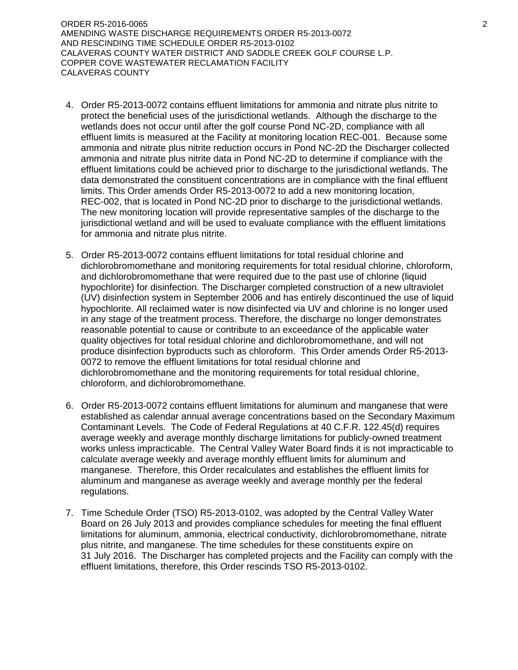ORDER R5-2016-0065 2 AMENDING WASTE DISCHARGE REQUIREMENTS ORDER R5-2013-0072 AND RESCINDING TIME SCHEDULE ORDER R5-2013-0102 CALAVERAS COUNTY WATER DISTRICT AND SADDLE CREEK GOLF COURSE L.P. COPPER COVE WASTEWATER RECLAMATION FACILITY CALAVERAS COUNTY

- 4. Order R5-2013-0072 contains effluent limitations for ammonia and nitrate plus nitrite to protect the beneficial uses of the jurisdictional wetlands. Although the discharge to the wetlands does not occur until after the golf course Pond NC-2D, compliance with all effluent limits is measured at the Facility at monitoring location REC-001. Because some ammonia and nitrate plus nitrite reduction occurs in Pond NC-2D the Discharger collected ammonia and nitrate plus nitrite data in Pond NC-2D to determine if compliance with the effluent limitations could be achieved prior to discharge to the jurisdictional wetlands. The data demonstrated the constituent concentrations are in compliance with the final effluent limits. This Order amends Order R5-2013-0072 to add a new monitoring location, REC-002, that is located in Pond NC-2D prior to discharge to the jurisdictional wetlands. The new monitoring location will provide representative samples of the discharge to the jurisdictional wetland and will be used to evaluate compliance with the effluent limitations for ammonia and nitrate plus nitrite.
- 5. Order R5-2013-0072 contains effluent limitations for total residual chlorine and dichlorobromomethane and monitoring requirements for total residual chlorine, chloroform, and dichlorobromomethane that were required due to the past use of chlorine (liquid hypochlorite) for disinfection. The Discharger completed construction of a new ultraviolet (UV) disinfection system in September 2006 and has entirely discontinued the use of liquid hypochlorite. All reclaimed water is now disinfected via UV and chlorine is no longer used in any stage of the treatment process. Therefore, the discharge no longer demonstrates reasonable potential to cause or contribute to an exceedance of the applicable water quality objectives for total residual chlorine and dichlorobromomethane, and will not produce disinfection byproducts such as chloroform. This Order amends Order R5-2013- 0072 to remove the effluent limitations for total residual chlorine and dichlorobromomethane and the monitoring requirements for total residual chlorine, chloroform, and dichlorobromomethane.
- 6. Order R5-2013-0072 contains effluent limitations for aluminum and manganese that were established as calendar annual average concentrations based on the Secondary Maximum Contaminant Levels. The Code of Federal Regulations at 40 C.F.R. 122.45(d) requires average weekly and average monthly discharge limitations for publicly-owned treatment works unless impracticable. The Central Valley Water Board finds it is not impracticable to calculate average weekly and average monthly effluent limits for aluminum and manganese. Therefore, this Order recalculates and establishes the effluent limits for aluminum and manganese as average weekly and average monthly per the federal regulations.
- 7. Time Schedule Order (TSO) R5-2013-0102, was adopted by the Central Valley Water Board on 26 July 2013 and provides compliance schedules for meeting the final effluent limitations for aluminum, ammonia, electrical conductivity, dichlorobromomethane, nitrate plus nitrite, and manganese. The time schedules for these constituents expire on 31 July 2016. The Discharger has completed projects and the Facility can comply with the effluent limitations, therefore, this Order rescinds TSO R5-2013-0102.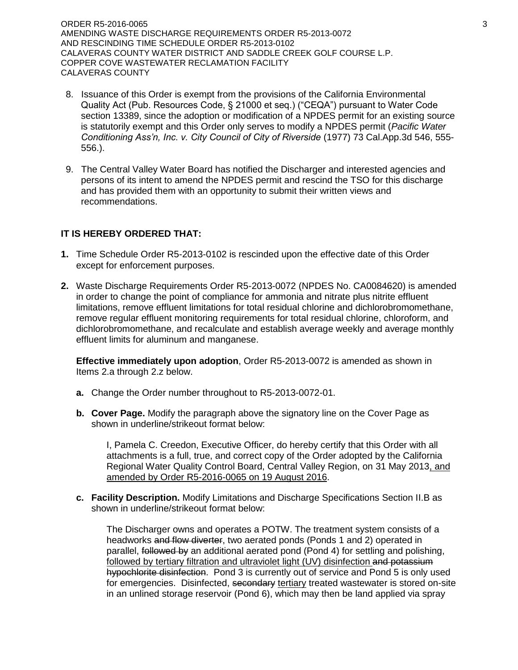ORDER R5-2016-0065 3 AMENDING WASTE DISCHARGE REQUIREMENTS ORDER R5-2013-0072 AND RESCINDING TIME SCHEDULE ORDER R5-2013-0102 CALAVERAS COUNTY WATER DISTRICT AND SADDLE CREEK GOLF COURSE L.P. COPPER COVE WASTEWATER RECLAMATION FACILITY CALAVERAS COUNTY

- 8. Issuance of this Order is exempt from the provisions of the California Environmental Quality Act (Pub. Resources Code, § 21000 et seq.) ("CEQA") pursuant to Water Code section 13389, since the adoption or modification of a NPDES permit for an existing source is statutorily exempt and this Order only serves to modify a NPDES permit (*Pacific Water Conditioning Ass'n, Inc. v. City Council of City of Riverside* (1977) 73 Cal.App.3d 546, 555- 556.).
- 9. The Central Valley Water Board has notified the Discharger and interested agencies and persons of its intent to amend the NPDES permit and rescind the TSO for this discharge and has provided them with an opportunity to submit their written views and recommendations.

# **IT IS HEREBY ORDERED THAT:**

- **1.** Time Schedule Order R5-2013-0102 is rescinded upon the effective date of this Order except for enforcement purposes.
- **2.** Waste Discharge Requirements Order R5-2013-0072 (NPDES No. CA0084620) is amended in order to change the point of compliance for ammonia and nitrate plus nitrite effluent limitations, remove effluent limitations for total residual chlorine and dichlorobromomethane, remove regular effluent monitoring requirements for total residual chlorine, chloroform, and dichlorobromomethane, and recalculate and establish average weekly and average monthly effluent limits for aluminum and manganese.

**Effective immediately upon adoption**, Order R5-2013-0072 is amended as shown in Items 2.a through 2.z below.

- **a.** Change the Order number throughout to R5-2013-0072-01.
- **b. Cover Page.** Modify the paragraph above the signatory line on the Cover Page as shown in underline/strikeout format below:

I, Pamela C. Creedon, Executive Officer, do hereby certify that this Order with all attachments is a full, true, and correct copy of the Order adopted by the California Regional Water Quality Control Board, Central Valley Region, on 31 May 2013, and amended by Order R5-2016-0065 on 19 August 2016.

**c. Facility Description.** Modify Limitations and Discharge Specifications Section II.B as shown in underline/strikeout format below:

The Discharger owns and operates a POTW. The treatment system consists of a headworks and flow diverter, two aerated ponds (Ponds 1 and 2) operated in parallel, followed by an additional aerated pond (Pond 4) for settling and polishing, followed by tertiary filtration and ultraviolet light (UV) disinfection and potassium hypochlorite disinfection. Pond 3 is currently out of service and Pond 5 is only used for emergencies. Disinfected, secondary tertiary treated wastewater is stored on-site in an unlined storage reservoir (Pond 6), which may then be land applied via spray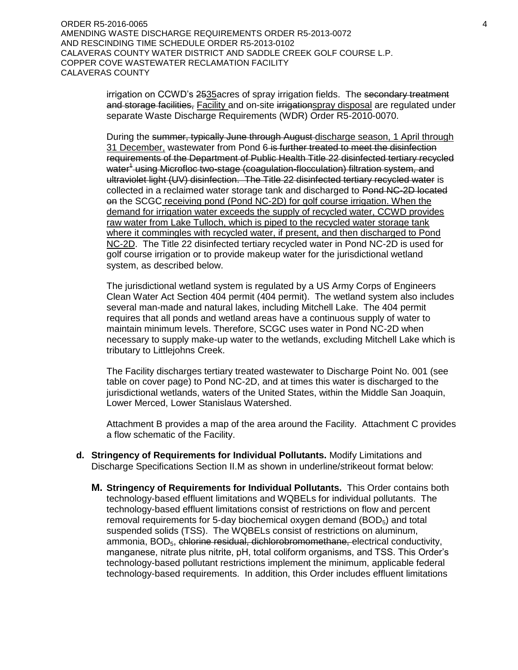ORDER R5-2016-0065 4 AMENDING WASTE DISCHARGE REQUIREMENTS ORDER R5-2013-0072 AND RESCINDING TIME SCHEDULE ORDER R5-2013-0102 CALAVERAS COUNTY WATER DISTRICT AND SADDLE CREEK GOLF COURSE L.P. COPPER COVE WASTEWATER RECLAMATION FACILITY CALAVERAS COUNTY

> irrigation on CCWD's 2535 acres of spray irrigation fields. The secondary treatment and storage facilities, Facility and on-site irrigationspray disposal are regulated under separate Waste Discharge Requirements (WDR) Order R5-2010-0070.

> During the summer, typically June through August discharge season, 1 April through 31 December, wastewater from Pond 6 is further treated to meet the disinfection requirements of the Department of Public Health Title 22 disinfected tertiary recycled water<sup>4</sup> using Microfloc two-stage (coagulation-flocculation) filtration system, and ultraviolet light (UV) disinfection. The Title 22 disinfected tertiary recycled water is collected in a reclaimed water storage tank and discharged to Pond NC-2D located on the SCGC receiving pond (Pond NC-2D) for golf course irrigation. When the demand for irrigation water exceeds the supply of recycled water, CCWD provides raw water from Lake Tulloch, which is piped to the recycled water storage tank where it commingles with recycled water, if present, and then discharged to Pond NC-2D. The Title 22 disinfected tertiary recycled water in Pond NC-2D is used for golf course irrigation or to provide makeup water for the jurisdictional wetland system, as described below.

> The jurisdictional wetland system is regulated by a US Army Corps of Engineers Clean Water Act Section 404 permit (404 permit). The wetland system also includes several man-made and natural lakes, including Mitchell Lake. The 404 permit requires that all ponds and wetland areas have a continuous supply of water to maintain minimum levels. Therefore, SCGC uses water in Pond NC-2D when necessary to supply make-up water to the wetlands, excluding Mitchell Lake which is tributary to Littlejohns Creek.

The Facility discharges tertiary treated wastewater to Discharge Point No. 001 (see table on cover page) to Pond NC-2D, and at times this water is discharged to the jurisdictional wetlands, waters of the United States, within the Middle San Joaquin, Lower Merced, Lower Stanislaus Watershed.

Attachment B provides a map of the area around the Facility. Attachment C provides a flow schematic of the Facility.

- **d. Stringency of Requirements for Individual Pollutants.** Modify Limitations and Discharge Specifications Section II.M as shown in underline/strikeout format below:
	- **M. Stringency of Requirements for Individual Pollutants.** This Order contains both technology-based effluent limitations and WQBELs for individual pollutants. The technology-based effluent limitations consist of restrictions on flow and percent removal requirements for 5-day biochemical oxygen demand ( $BOD<sub>5</sub>$ ) and total suspended solids (TSS). The WQBELs consist of restrictions on aluminum, ammonia, BOD<sub>5</sub>, chlorine residual, dichlorobromomethane, electrical conductivity, manganese, nitrate plus nitrite, pH, total coliform organisms, and TSS. This Order's technology-based pollutant restrictions implement the minimum, applicable federal technology-based requirements. In addition, this Order includes effluent limitations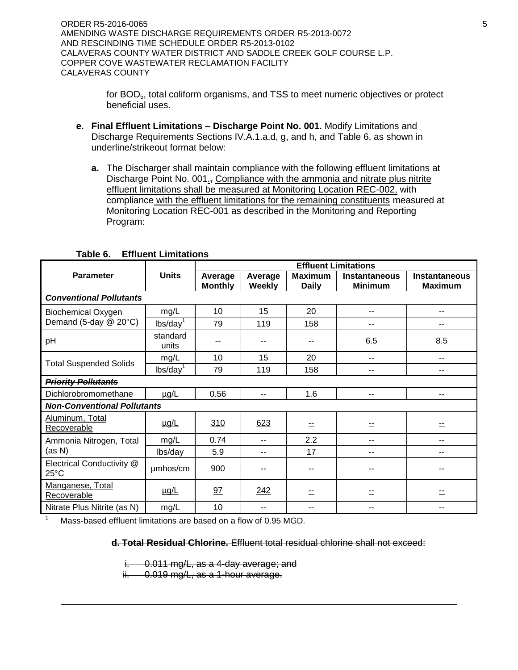ORDER R5-2016-0065 5 AMENDING WASTE DISCHARGE REQUIREMENTS ORDER R5-2013-0072 AND RESCINDING TIME SCHEDULE ORDER R5-2013-0102 CALAVERAS COUNTY WATER DISTRICT AND SADDLE CREEK GOLF COURSE L.P. COPPER COVE WASTEWATER RECLAMATION FACILITY CALAVERAS COUNTY

> for BOD<sub>5</sub>, total coliform organisms, and TSS to meet numeric objectives or protect beneficial uses.

- **e. Final Effluent Limitations – Discharge Point No. 001.** Modify Limitations and Discharge Requirements Sections IV.A.1.a,d, g, and h, and Table 6, as shown in underline/strikeout format below:
	- **a.** The Discharger shall maintain compliance with the following effluent limitations at Discharge Point No. 001., Compliance with the ammonia and nitrate plus nitrite effluent limitations shall be measured at Monitoring Location REC-002, with compliance with the effluent limitations for the remaining constituents measured at Monitoring Location REC-001 as described in the Monitoring and Reporting Program:

|                                             |                      | <b>Effluent Limitations</b> |                   |                                |                                        |                                        |  |  |  |  |
|---------------------------------------------|----------------------|-----------------------------|-------------------|--------------------------------|----------------------------------------|----------------------------------------|--|--|--|--|
| <b>Parameter</b>                            | <b>Units</b>         | Average<br><b>Monthly</b>   | Average<br>Weekly | <b>Maximum</b><br><b>Daily</b> | <b>Instantaneous</b><br><b>Minimum</b> | <b>Instantaneous</b><br><b>Maximum</b> |  |  |  |  |
| <b>Conventional Pollutants</b>              |                      |                             |                   |                                |                                        |                                        |  |  |  |  |
| <b>Biochemical Oxygen</b>                   | mg/L                 | 10                          | 15                | 20                             | --                                     | --                                     |  |  |  |  |
| Demand (5-day @ 20°C)                       | lbs/day <sup>1</sup> | 79                          | 119               | 158                            | --                                     | --                                     |  |  |  |  |
| pH                                          | standard<br>units    | --                          |                   | --                             | 6.5                                    | 8.5                                    |  |  |  |  |
|                                             | mg/L                 | 10                          | 15                | 20                             | --                                     | --                                     |  |  |  |  |
| <b>Total Suspended Solids</b>               | $\text{lbs/day}^1$   | 79                          | 119               | 158                            | --                                     | --                                     |  |  |  |  |
| <b>Priority Pollutants</b>                  |                      |                             |                   |                                |                                        |                                        |  |  |  |  |
| <b>Dichlorobromomethane</b>                 | $\mu g/L$            | 0.56                        | $\sim$            | 4.6                            | $\sim$                                 | --                                     |  |  |  |  |
| <b>Non-Conventional Pollutants</b>          |                      |                             |                   |                                |                                        |                                        |  |  |  |  |
| Aluminum, Total<br>Recoverable              | <u>µg/L</u>          | 310                         | 623               |                                | $\equiv$                               |                                        |  |  |  |  |
| Ammonia Nitrogen, Total                     | mg/L                 | 0.74                        | --                | 2.2                            | --                                     | --                                     |  |  |  |  |
| (as N)                                      | lbs/day              | 5.9                         | --                | 17                             | --                                     | --                                     |  |  |  |  |
| Electrical Conductivity @<br>$25^{\circ}$ C | umhos/cm             | 900                         |                   | --                             |                                        |                                        |  |  |  |  |
| Manganese, Total<br>Recoverable             | <u>µg/L</u>          | 97                          | 242               |                                |                                        |                                        |  |  |  |  |
| Nitrate Plus Nitrite (as N)                 | mg/L                 | 10                          | --                | --                             | $- -$                                  | --                                     |  |  |  |  |

## **Table 6. Effluent Limitations**

Mass-based effluent limitations are based on a flow of 0.95 MGD.

 $\overline{a}$ 

**d. Total Residual Chlorine.** Effluent total residual chlorine shall not exceed:

i. 0.011 mg/L, as a 4-day average; and

ii. 0.019 mg/L, as a 1-hour average.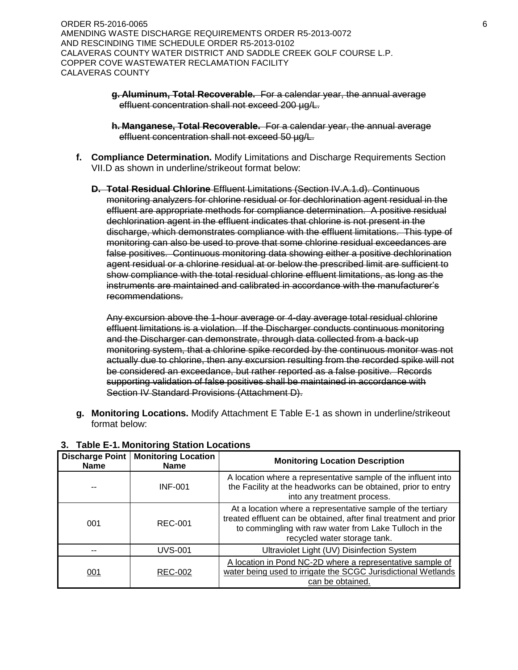ORDER R5-2016-0065 6 AMENDING WASTE DISCHARGE REQUIREMENTS ORDER R5-2013-0072 AND RESCINDING TIME SCHEDULE ORDER R5-2013-0102 CALAVERAS COUNTY WATER DISTRICT AND SADDLE CREEK GOLF COURSE L.P. COPPER COVE WASTEWATER RECLAMATION FACILITY CALAVERAS COUNTY

- **g. Aluminum, Total Recoverable.** For a calendar year, the annual average effluent concentration shall not exceed 200 µg/L.
- **h. Manganese, Total Recoverable.** For a calendar year, the annual average effluent concentration shall not exceed 50 µg/L.
- **f. Compliance Determination.** Modify Limitations and Discharge Requirements Section VII.D as shown in underline/strikeout format below:
	- **D. Total Residual Chlorine** Effluent Limitations (Section IV.A.1.d). Continuous monitoring analyzers for chlorine residual or for dechlorination agent residual in the effluent are appropriate methods for compliance determination. A positive residual dechlorination agent in the effluent indicates that chlorine is not present in the discharge, which demonstrates compliance with the effluent limitations. This type of monitoring can also be used to prove that some chlorine residual exceedances are false positives. Continuous monitoring data showing either a positive dechlorination agent residual or a chlorine residual at or below the prescribed limit are sufficient to show compliance with the total residual chlorine effluent limitations, as long as the instruments are maintained and calibrated in accordance with the manufacturer's recommendations.

Any excursion above the 1-hour average or 4-day average total residual chlorine effluent limitations is a violation. If the Discharger conducts continuous monitoring and the Discharger can demonstrate, through data collected from a back-up monitoring system, that a chlorine spike recorded by the continuous monitor was not actually due to chlorine, then any excursion resulting from the recorded spike will not be considered an exceedance, but rather reported as a false positive. Records supporting validation of false positives shall be maintained in accordance with Section IV Standard Provisions (Attachment D).

**g. Monitoring Locations.** Modify Attachment E Table E-1 as shown in underline/strikeout format below:

| Discharge Point<br><b>Name</b> | <b>Monitoring Location</b><br>Name | <b>Monitoring Location Description</b>                                                                                                                                                                                     |
|--------------------------------|------------------------------------|----------------------------------------------------------------------------------------------------------------------------------------------------------------------------------------------------------------------------|
|                                | <b>INF-001</b>                     | A location where a representative sample of the influent into<br>the Facility at the headworks can be obtained, prior to entry<br>into any treatment process.                                                              |
| 001                            | <b>REC-001</b>                     | At a location where a representative sample of the tertiary<br>treated effluent can be obtained, after final treatment and prior<br>to commingling with raw water from Lake Tulloch in the<br>recycled water storage tank. |
|                                | <b>UVS-001</b>                     | Ultraviolet Light (UV) Disinfection System                                                                                                                                                                                 |
| 001                            | <b>REC-002</b>                     | A location in Pond NC-2D where a representative sample of<br>water being used to irrigate the SCGC Jurisdictional Wetlands<br>can be obtained.                                                                             |

# **3. Table E-1. Monitoring Station Locations**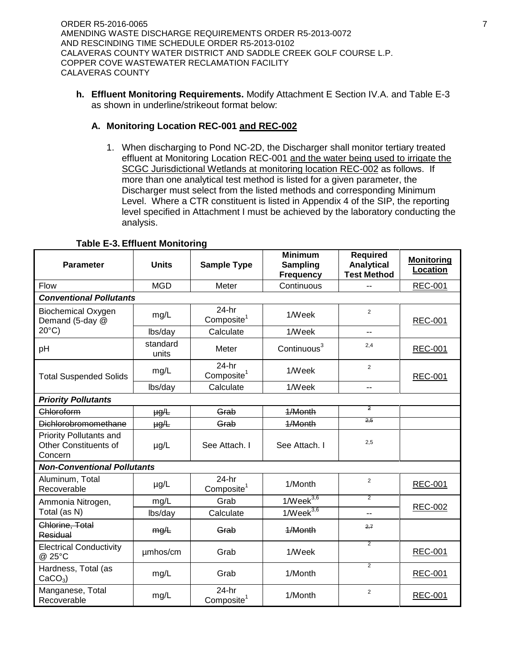ORDER R5-2016-0065 7 AMENDING WASTE DISCHARGE REQUIREMENTS ORDER R5-2013-0072 AND RESCINDING TIME SCHEDULE ORDER R5-2013-0102 CALAVERAS COUNTY WATER DISTRICT AND SADDLE CREEK GOLF COURSE L.P. COPPER COVE WASTEWATER RECLAMATION FACILITY CALAVERAS COUNTY

**h. Effluent Monitoring Requirements.** Modify Attachment E Section IV.A. and Table E-3 as shown in underline/strikeout format below:

# **A. Monitoring Location REC-001 and REC-002**

1. When discharging to Pond NC-2D, the Discharger shall monitor tertiary treated effluent at Monitoring Location REC-001 and the water being used to irrigate the SCGC Jurisdictional Wetlands at monitoring location REC-002 as follows. If more than one analytical test method is listed for a given parameter, the Discharger must select from the listed methods and corresponding Minimum Level. Where a CTR constituent is listed in Appendix 4 of the SIP, the reporting level specified in Attachment I must be achieved by the laboratory conducting the analysis.

| <b>Parameter</b>                                                          | <b>Units</b>      | <b>Sample Type</b>                | <b>Minimum</b><br><b>Sampling</b><br><b>Frequency</b> | <b>Required</b><br><b>Analytical</b><br><b>Test Method</b> | <b>Monitoring</b><br>Location |
|---------------------------------------------------------------------------|-------------------|-----------------------------------|-------------------------------------------------------|------------------------------------------------------------|-------------------------------|
| <b>Flow</b>                                                               | <b>MGD</b>        | Meter                             | Continuous                                            |                                                            | <b>REC-001</b>                |
| <b>Conventional Pollutants</b>                                            |                   |                                   |                                                       |                                                            |                               |
| <b>Biochemical Oxygen</b><br>Demand (5-day @                              | mg/L              | $24-hr$<br>Composite <sup>1</sup> | 1/Week                                                | $\overline{2}$                                             | <b>REC-001</b>                |
| $20^{\circ}$ C)                                                           | lbs/day           | Calculate                         | 1/Week                                                | $-$                                                        |                               |
| pH                                                                        | standard<br>units | Meter                             | Continuous <sup>3</sup>                               | 2,4                                                        | <b>REC-001</b>                |
| <b>Total Suspended Solids</b>                                             | mg/L              | $24-hr$<br>Composite <sup>1</sup> | 1/Week                                                | 2                                                          | <b>REC-001</b>                |
|                                                                           | lbs/day           | Calculate                         | 1/Week                                                | --                                                         |                               |
| <b>Priority Pollutants</b>                                                |                   |                                   |                                                       |                                                            |                               |
| Chloroform                                                                | $\mu g/L$         | Grab                              | 1/Month                                               | 2                                                          |                               |
| <b>Dichlorobromomethane</b>                                               | $\mu g/L$         | Grab                              | 1/Month                                               | 2,5                                                        |                               |
| <b>Priority Pollutants and</b><br><b>Other Constituents of</b><br>Concern | µg/L              | See Attach. I                     | See Attach. I                                         | 2,5                                                        |                               |
| <b>Non-Conventional Pollutants</b>                                        |                   |                                   |                                                       |                                                            |                               |
| Aluminum, Total<br>Recoverable                                            | µg/L              | $24-hr$<br>Composite <sup>1</sup> | 1/Month                                               | 2                                                          | <b>REC-001</b>                |
| Ammonia Nitrogen,                                                         | mg/L              | Grab                              | $1$ /Week $3,6$                                       | $\overline{2}$                                             |                               |
| Total (as N)                                                              | lbs/day           | Calculate                         | $1$ /Week $3,6$                                       | --                                                         | <b>REC-002</b>                |
| Chlorine, Total<br>Residual                                               | mg/L              | Grab                              | 1/Month                                               | 2.7                                                        |                               |
| <b>Electrical Conductivity</b><br>@ 25°C                                  | umhos/cm          | Grab                              | $\overline{2}$<br>1/Week                              |                                                            | <b>REC-001</b>                |
| Hardness, Total (as<br>$CaCO3$ )                                          | mg/L              | Grab                              | 1/Month                                               | $\overline{2}$                                             | <b>REC-001</b>                |
| Manganese, Total<br>Recoverable                                           | mg/L              | 24-hr<br>Composite <sup>1</sup>   | 1/Month                                               | 2                                                          | <b>REC-001</b>                |

## **Table E-3. Effluent Monitoring**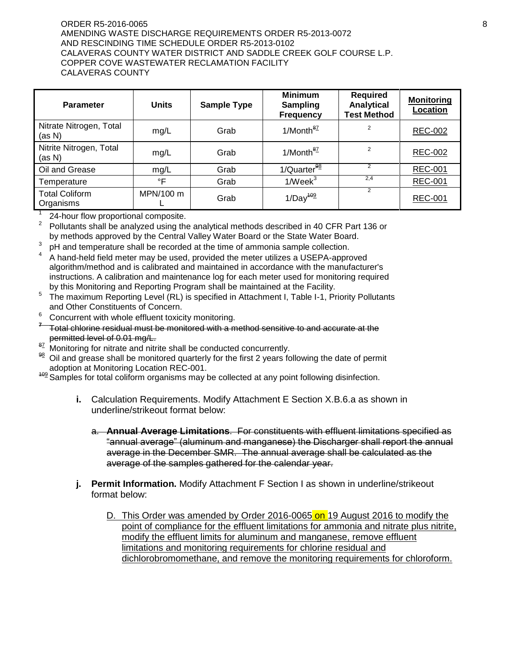#### ORDER R5-2016-0065 8 AMENDING WASTE DISCHARGE REQUIREMENTS ORDER R5-2013-0072 AND RESCINDING TIME SCHEDULE ORDER R5-2013-0102 CALAVERAS COUNTY WATER DISTRICT AND SADDLE CREEK GOLF COURSE L.P. COPPER COVE WASTEWATER RECLAMATION FACILITY CALAVERAS COUNTY

| <b>Parameter</b>                   | <b>Units</b> | <b>Sample Type</b> | <b>Minimum</b><br><b>Sampling</b><br><b>Frequency</b> | <b>Required</b><br>Analytical<br><b>Test Method</b> | <b>Monitoring</b><br>Location |
|------------------------------------|--------------|--------------------|-------------------------------------------------------|-----------------------------------------------------|-------------------------------|
| Nitrate Nitrogen, Total<br>(as N)  | mg/L         | Grab               | 1/Month <sup>87</sup>                                 | $\overline{2}$                                      | REC-002                       |
| Nitrite Nitrogen, Total<br>(as N)  | mg/L         | Grab               | $1/M$ onth $\frac{87}{2}$                             | $\overline{2}$                                      | <b>REC-002</b>                |
| Oil and Grease                     | mg/L         | Grab               | 1/Quarter <sup>98</sup>                               |                                                     | <b>REC-001</b>                |
| Temperature                        | °F           | Grab               | $1$ /Week $3$                                         | 2,4                                                 | <b>REC-001</b>                |
| <b>Total Coliform</b><br>Organisms | MPN/100 m    | Grab               | $1/Day^{109}$                                         | 2                                                   | <b>REC-001</b>                |

1 24-hour flow proportional composite.

2 Pollutants shall be analyzed using the analytical methods described in 40 CFR Part 136 or by methods approved by the Central Valley Water Board or the State Water Board.

- 3 pH and temperature shall be recorded at the time of ammonia sample collection.
- 4 A hand-held field meter may be used, provided the meter utilizes a USEPA-approved algorithm/method and is calibrated and maintained in accordance with the manufacturer's instructions. A calibration and maintenance log for each meter used for monitoring required by this Monitoring and Reporting Program shall be maintained at the Facility.
- 5 The maximum Reporting Level (RL) is specified in Attachment I, Table I-1, Priority Pollutants and Other Constituents of Concern.
- $6$  Concurrent with whole effluent toxicity monitoring.
- **7** Total chlorine residual must be monitored with a method sensitive to and accurate at the permitted level of 0.01 mg/L.
- <sup>87</sup> Monitoring for nitrate and nitrite shall be conducted concurrently.<br><sup>98</sup> Oil and grosse shall be menitored quarterly for the first 3 years for
- Oil and grease shall be monitored quarterly for the first 2 years following the date of permit adoption at Monitoring Location REC-001.

<sup>409</sup> Samples for total coliform organisms may be collected at any point following disinfection.

- **i.** Calculation Requirements. Modify Attachment E Section X.B.6.a as shown in underline/strikeout format below:
	- a. **Annual Average Limitations**. For constituents with effluent limitations specified as "annual average" (aluminum and manganese) the Discharger shall report the annual average in the December SMR. The annual average shall be calculated as the average of the samples gathered for the calendar year.
- **j. Permit Information.** Modify Attachment F Section I as shown in underline/strikeout format below:
	- D. This Order was amended by Order 2016-0065 on 19 August 2016 to modify the point of compliance for the effluent limitations for ammonia and nitrate plus nitrite, modify the effluent limits for aluminum and manganese, remove effluent limitations and monitoring requirements for chlorine residual and dichlorobromomethane, and remove the monitoring requirements for chloroform.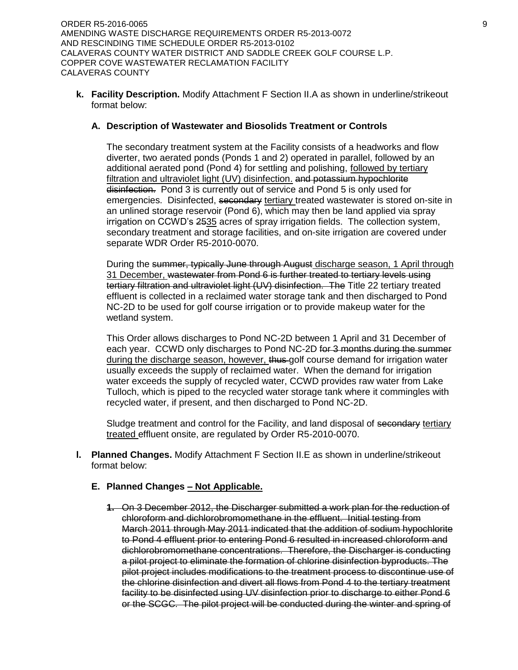**k. Facility Description.** Modify Attachment F Section II.A as shown in underline/strikeout format below:

## **A. Description of Wastewater and Biosolids Treatment or Controls**

The secondary treatment system at the Facility consists of a headworks and flow diverter, two aerated ponds (Ponds 1 and 2) operated in parallel, followed by an additional aerated pond (Pond 4) for settling and polishing, followed by tertiary filtration and ultraviolet light (UV) disinfection. and potassium hypochlorite disinfection. Pond 3 is currently out of service and Pond 5 is only used for emergencies. Disinfected, secondary tertiary treated wastewater is stored on-site in an unlined storage reservoir (Pond 6), which may then be land applied via spray irrigation on CCWD's 2535 acres of spray irrigation fields. The collection system, secondary treatment and storage facilities, and on-site irrigation are covered under separate WDR Order R5-2010-0070.

During the summer, typically June through August discharge season, 1 April through 31 December, wastewater from Pond 6 is further treated to tertiary levels using tertiary filtration and ultraviolet light (UV) disinfection. The Title 22 tertiary treated effluent is collected in a reclaimed water storage tank and then discharged to Pond NC-2D to be used for golf course irrigation or to provide makeup water for the wetland system.

This Order allows discharges to Pond NC-2D between 1 April and 31 December of each year. CCWD only discharges to Pond NC-2D for 3 months during the summer during the discharge season, however, thus golf course demand for irrigation water usually exceeds the supply of reclaimed water. When the demand for irrigation water exceeds the supply of recycled water, CCWD provides raw water from Lake Tulloch, which is piped to the recycled water storage tank where it commingles with recycled water, if present, and then discharged to Pond NC-2D.

Sludge treatment and control for the Facility, and land disposal of secondary tertiary treated effluent onsite, are regulated by Order R5-2010-0070.

**l. Planned Changes.** Modify Attachment F Section II.E as shown in underline/strikeout format below:

# **E. Planned Changes – Not Applicable.**

**1.** On 3 December 2012, the Discharger submitted a work plan for the reduction of chloroform and dichlorobromomethane in the effluent. Initial testing from March 2011 through May 2011 indicated that the addition of sodium hypochlorite to Pond 4 effluent prior to entering Pond 6 resulted in increased chloroform and dichlorobromomethane concentrations. Therefore, the Discharger is conducting a pilot project to eliminate the formation of chlorine disinfection byproducts. The pilot project includes modifications to the treatment process to discontinue use of the chlorine disinfection and divert all flows from Pond 4 to the tertiary treatment facility to be disinfected using UV disinfection prior to discharge to either Pond 6 or the SCGC. The pilot project will be conducted during the winter and spring of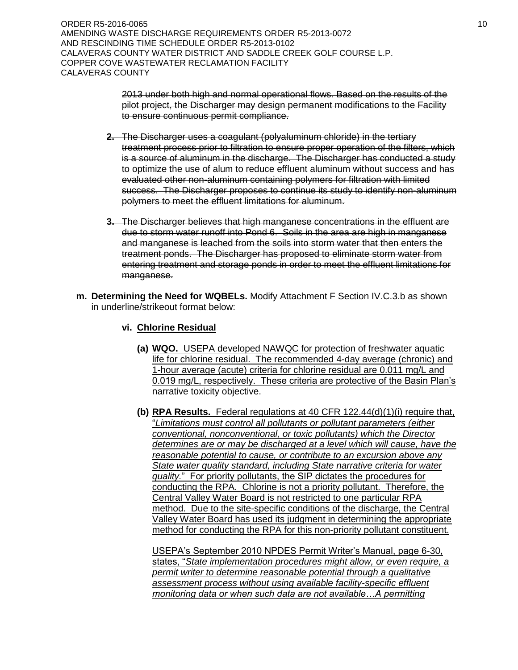ORDER R5-2016-0065 10 AMENDING WASTE DISCHARGE REQUIREMENTS ORDER R5-2013-0072 AND RESCINDING TIME SCHEDULE ORDER R5-2013-0102 CALAVERAS COUNTY WATER DISTRICT AND SADDLE CREEK GOLF COURSE L.P. COPPER COVE WASTEWATER RECLAMATION FACILITY CALAVERAS COUNTY

> 2013 under both high and normal operational flows. Based on the results of the pilot project, the Discharger may design permanent modifications to the Facility to ensure continuous permit compliance.

- **2.** The Discharger uses a coagulant (polyaluminum chloride) in the tertiary treatment process prior to filtration to ensure proper operation of the filters, which is a source of aluminum in the discharge. The Discharger has conducted a study to optimize the use of alum to reduce effluent aluminum without success and has evaluated other non-aluminum containing polymers for filtration with limited success. The Discharger proposes to continue its study to identify non-aluminum polymers to meet the effluent limitations for aluminum.
- **3.** The Discharger believes that high manganese concentrations in the effluent are due to storm water runoff into Pond 6. Soils in the area are high in manganese and manganese is leached from the soils into storm water that then enters the treatment ponds. The Discharger has proposed to eliminate storm water from entering treatment and storage ponds in order to meet the effluent limitations for manganese.
- **m. Determining the Need for WQBELs.** Modify Attachment F Section IV.C.3.b as shown in underline/strikeout format below:
	- **vi. Chlorine Residual**
		- **(a) WQO.** USEPA developed NAWQC for protection of freshwater aquatic life for chlorine residual. The recommended 4-day average (chronic) and 1-hour average (acute) criteria for chlorine residual are 0.011 mg/L and 0.019 mg/L, respectively. These criteria are protective of the Basin Plan's narrative toxicity objective.
		- **(b) RPA Results.** Federal regulations at 40 CFR 122.44(d)(1)(i) require that, "*Limitations must control all pollutants or pollutant parameters (either conventional, nonconventional, or toxic pollutants) which the Director determines are or may be discharged at a level which will cause, have the reasonable potential to cause, or contribute to an excursion above any State water quality standard, including State narrative criteria for water quality.*" For priority pollutants, the SIP dictates the procedures for conducting the RPA. Chlorine is not a priority pollutant. Therefore, the Central Valley Water Board is not restricted to one particular RPA method. Due to the site-specific conditions of the discharge, the Central Valley Water Board has used its judgment in determining the appropriate method for conducting the RPA for this non-priority pollutant constituent.

USEPA's September 2010 NPDES Permit Writer's Manual, page 6-30, states, "*State implementation procedures might allow, or even require, a permit writer to determine reasonable potential through a qualitative assessment process without using available facility-specific effluent monitoring data or when such data are not available…A permitting*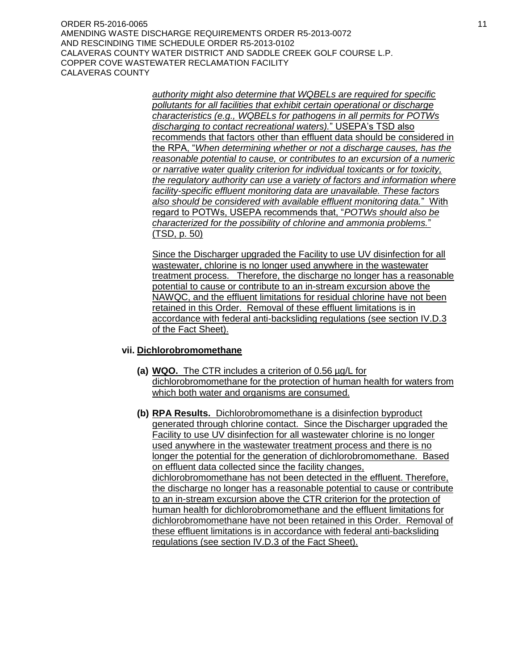ORDER R5-2016-0065 11 and 2016 12:00 12:00 12:00 12:00 12:00 12:00 12:00 12:00 12:00 12:00 12:00 12:00 12:00 1 AMENDING WASTE DISCHARGE REQUIREMENTS ORDER R5-2013-0072 AND RESCINDING TIME SCHEDULE ORDER R5-2013-0102 CALAVERAS COUNTY WATER DISTRICT AND SADDLE CREEK GOLF COURSE L.P. COPPER COVE WASTEWATER RECLAMATION FACILITY CALAVERAS COUNTY

> *authority might also determine that WQBELs are required for specific pollutants for all facilities that exhibit certain operational or discharge characteristics (e.g., WQBELs for pathogens in all permits for POTWs discharging to contact recreational waters).*" USEPA's TSD also recommends that factors other than effluent data should be considered in the RPA, "*When determining whether or not a discharge causes, has the reasonable potential to cause, or contributes to an excursion of a numeric or narrative water quality criterion for individual toxicants or for toxicity, the regulatory authority can use a variety of factors and information where facility-specific effluent monitoring data are unavailable. These factors also should be considered with available effluent monitoring data.*" With regard to POTWs, USEPA recommends that, "*POTWs should also be characterized for the possibility of chlorine and ammonia problems.*" (TSD, p. 50)

> Since the Discharger upgraded the Facility to use UV disinfection for all wastewater, chlorine is no longer used anywhere in the wastewater treatment process. Therefore, the discharge no longer has a reasonable potential to cause or contribute to an in-stream excursion above the NAWQC, and the effluent limitations for residual chlorine have not been retained in this Order. Removal of these effluent limitations is in accordance with federal anti-backsliding regulations (see section IV.D.3 of the Fact Sheet).

#### **vii. Dichlorobromomethane**

- **(a) WQO.** The CTR includes a criterion of 0.56 µg/L for dichlorobromomethane for the protection of human health for waters from which both water and organisms are consumed.
- **(b) RPA Results.** Dichlorobromomethane is a disinfection byproduct generated through chlorine contact. Since the Discharger upgraded the Facility to use UV disinfection for all wastewater chlorine is no longer used anywhere in the wastewater treatment process and there is no longer the potential for the generation of dichlorobromomethane. Based on effluent data collected since the facility changes, dichlorobromomethane has not been detected in the effluent. Therefore, the discharge no longer has a reasonable potential to cause or contribute to an in-stream excursion above the CTR criterion for the protection of human health for dichlorobromomethane and the effluent limitations for dichlorobromomethane have not been retained in this Order. Removal of these effluent limitations is in accordance with federal anti-backsliding regulations (see section IV.D.3 of the Fact Sheet).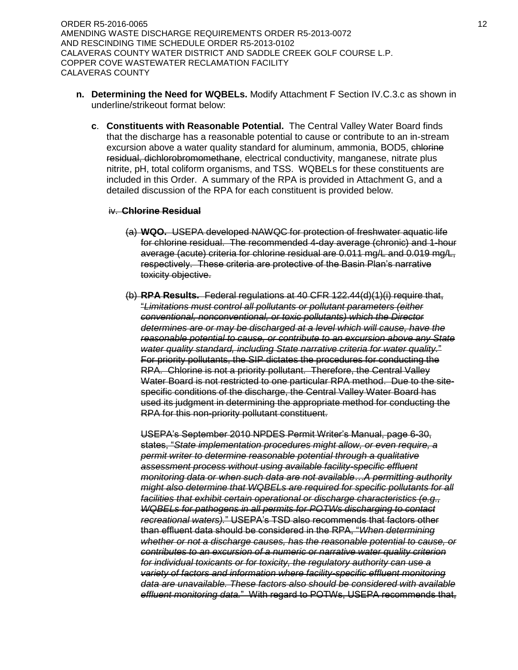ORDER R5-2016-0065 12 AMENDING WASTE DISCHARGE REQUIREMENTS ORDER R5-2013-0072 AND RESCINDING TIME SCHEDULE ORDER R5-2013-0102 CALAVERAS COUNTY WATER DISTRICT AND SADDLE CREEK GOLF COURSE L.P. COPPER COVE WASTEWATER RECLAMATION FACILITY CALAVERAS COUNTY

- **n. Determining the Need for WQBELs.** Modify Attachment F Section IV.C.3.c as shown in underline/strikeout format below:
	- **c**. **Constituents with Reasonable Potential.** The Central Valley Water Board finds that the discharge has a reasonable potential to cause or contribute to an in-stream excursion above a water quality standard for aluminum, ammonia, BOD5, chlorine residual, dichlorobromomethane, electrical conductivity, manganese, nitrate plus nitrite, pH, total coliform organisms, and TSS. WQBELs for these constituents are included in this Order. A summary of the RPA is provided in Attachment G, and a detailed discussion of the RPA for each constituent is provided below.

#### iv. **Chlorine Residual**

- (a) **WQO.** USEPA developed NAWQC for protection of freshwater aquatic life for chlorine residual. The recommended 4-day average (chronic) and 1-hour average (acute) criteria for chlorine residual are 0.011 mg/L and 0.019 mg/L, respectively. These criteria are protective of the Basin Plan's narrative toxicity objective.
- (b) **RPA Results.** Federal regulations at 40 CFR 122.44(d)(1)(i) require that, "*Limitations must control all pollutants or pollutant parameters (either conventional, nonconventional, or toxic pollutants) which the Director determines are or may be discharged at a level which will cause, have the reasonable potential to cause, or contribute to an excursion above any State water quality standard, including State narrative criteria for water quality.*" For priority pollutants, the SIP dictates the procedures for conducting the RPA. Chlorine is not a priority pollutant. Therefore, the Central Valley Water Board is not restricted to one particular RPA method. Due to the sitespecific conditions of the discharge, the Central Valley Water Board has used its judgment in determining the appropriate method for conducting the RPA for this non-priority pollutant constituent.

USEPA's September 2010 NPDES Permit Writer's Manual, page 6-30, states, "*State implementation procedures might allow, or even require, a permit writer to determine reasonable potential through a qualitative assessment process without using available facility-specific effluent monitoring data or when such data are not available…A permitting authority might also determine that WQBELs are required for specific pollutants for all facilities that exhibit certain operational or discharge characteristics (e.g., WQBELs for pathogens in all permits for POTWs discharging to contact recreational waters).*" USEPA's TSD also recommends that factors other than effluent data should be considered in the RPA, "*When determining whether or not a discharge causes, has the reasonable potential to cause, or contributes to an excursion of a numeric or narrative water quality criterion for individual toxicants or for toxicity, the regulatory authority can use a variety of factors and information where facility-specific effluent monitoring data are unavailable. These factors also should be considered with available effluent monitoring data.*" With regard to POTWs, USEPA recommends that,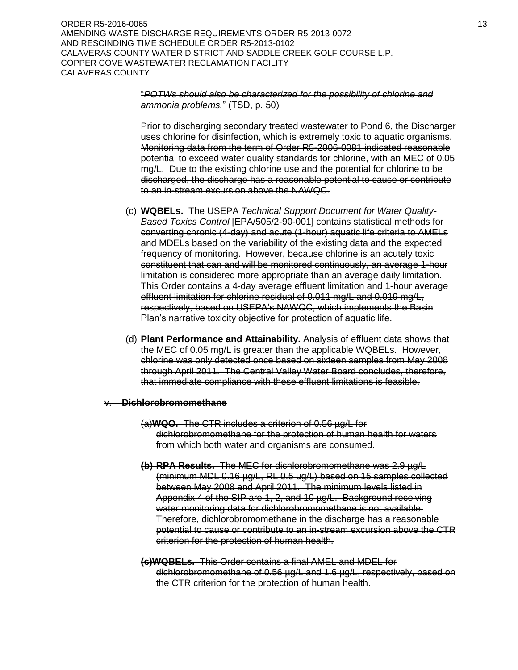ORDER R5-2016-0065 13 AMENDING WASTE DISCHARGE REQUIREMENTS ORDER R5-2013-0072 AND RESCINDING TIME SCHEDULE ORDER R5-2013-0102 CALAVERAS COUNTY WATER DISTRICT AND SADDLE CREEK GOLF COURSE L.P. COPPER COVE WASTEWATER RECLAMATION FACILITY CALAVERAS COUNTY

## "*POTWs should also be characterized for the possibility of chlorine and ammonia problems.*" (TSD, p. 50)

Prior to discharging secondary treated wastewater to Pond 6, the Discharger uses chlorine for disinfection, which is extremely toxic to aquatic organisms. Monitoring data from the term of Order R5-2006-0081 indicated reasonable potential to exceed water quality standards for chlorine, with an MEC of 0.05 mg/L. Due to the existing chlorine use and the potential for chlorine to be discharged, the discharge has a reasonable potential to cause or contribute to an in-stream excursion above the NAWQC.

- (c) **WQBELs.** The USEPA *Technical Support Document for Water Quality-Based Toxics Control* [EPA/505/2-90-001] contains statistical methods for converting chronic (4-day) and acute (1-hour) aquatic life criteria to AMELs and MDELs based on the variability of the existing data and the expected frequency of monitoring. However, because chlorine is an acutely toxic constituent that can and will be monitored continuously, an average 1-hour limitation is considered more appropriate than an average daily limitation. This Order contains a 4-day average effluent limitation and 1-hour average effluent limitation for chlorine residual of 0.011 mg/L and 0.019 mg/L, respectively, based on USEPA's NAWQC, which implements the Basin Plan's narrative toxicity objective for protection of aquatic life.
- (d) **Plant Performance and Attainability.** Analysis of effluent data shows that the MEC of 0.05 mg/L is greater than the applicable WQBELs. However, chlorine was only detected once based on sixteen samples from May 2008 through April 2011. The Central Valley Water Board concludes, therefore, that immediate compliance with these effluent limitations is feasible.

#### v. **Dichlorobromomethane**

- (a)**WQO.** The CTR includes a criterion of 0.56 µg/L for dichlorobromomethane for the protection of human health for waters from which both water and organisms are consumed.
- **(b) RPA Results.** The MEC for dichlorobromomethane was 2.9 µg/L (minimum MDL 0.16 µg/L, RL 0.5 µg/L) based on 15 samples collected between May 2008 and April 2011. The minimum levels listed in Appendix 4 of the SIP are 1, 2, and 10 µg/L. Background receiving water monitoring data for dichlorobromomethane is not available. Therefore, dichlorobromomethane in the discharge has a reasonable potential to cause or contribute to an in-stream excursion above the CTR criterion for the protection of human health.
- **(c)WQBELs.** This Order contains a final AMEL and MDEL for dichlorobromomethane of 0.56 µg/L and 1.6 µg/L, respectively, based on the CTR criterion for the protection of human health.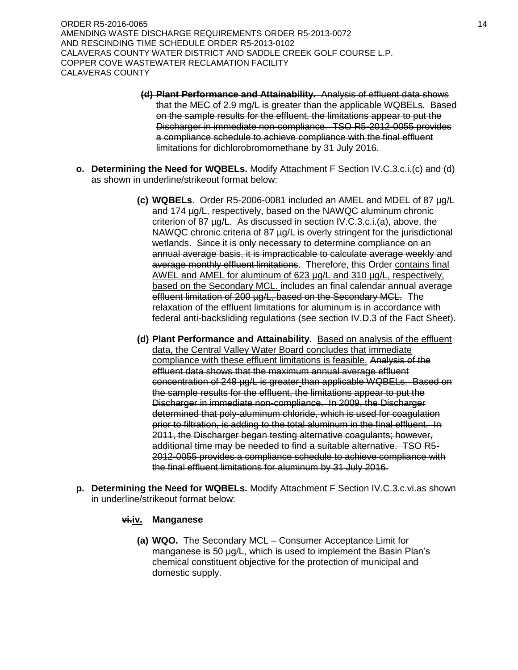ORDER R5-2016-0065 14 and 2016 14 and 2017 14 and 2017 14 and 2018 14 and 2018 14 and 2018 14 and 2018 14 AMENDING WASTE DISCHARGE REQUIREMENTS ORDER R5-2013-0072 AND RESCINDING TIME SCHEDULE ORDER R5-2013-0102 CALAVERAS COUNTY WATER DISTRICT AND SADDLE CREEK GOLF COURSE L.P. COPPER COVE WASTEWATER RECLAMATION FACILITY CALAVERAS COUNTY

- **(d) Plant Performance and Attainability.** Analysis of effluent data shows that the MEC of 2.9 mg/L is greater than the applicable WQBELs. Based on the sample results for the effluent, the limitations appear to put the Discharger in immediate non-compliance. TSO R5-2012-0055 provides a compliance schedule to achieve compliance with the final effluent limitations for dichlorobromomethane by 31 July 2016.
- **o. Determining the Need for WQBELs.** Modify Attachment F Section IV.C.3.c.i.(c) and (d) as shown in underline/strikeout format below:
	- **(c) WQBELs**. Order R5-2006-0081 included an AMEL and MDEL of 87 µg/L and 174 µg/L, respectively, based on the NAWQC aluminum chronic criterion of 87 µg/L. As discussed in section IV.C.3.c.i.(a), above, the NAWQC chronic criteria of 87 µg/L is overly stringent for the jurisdictional wetlands. Since it is only necessary to determine compliance on an annual average basis, it is impracticable to calculate average weekly and average monthly effluent limitations. Therefore, this Order contains final AWEL and AMEL for aluminum of 623 µg/L and 310 µg/L, respectively, based on the Secondary MCL. includes an final calendar annual average effluent limitation of 200 µg/L, based on the Secondary MCL. The relaxation of the effluent limitations for aluminum is in accordance with federal anti-backsliding regulations (see section IV.D.3 of the Fact Sheet).
	- **(d) Plant Performance and Attainability.** Based on analysis of the effluent data, the Central Valley Water Board concludes that immediate compliance with these effluent limitations is feasible. Analysis of the effluent data shows that the maximum annual average effluent concentration of 248 µg/L is greater than applicable WQBELs. Based on the sample results for the effluent, the limitations appear to put the Discharger in immediate non-compliance. In 2009, the Discharger determined that poly-aluminum chloride, which is used for coagulation prior to filtration, is adding to the total aluminum in the final effluent. In 2011, the Discharger began testing alternative coagulants; however, additional time may be needed to find a suitable alternative. TSO R5- 2012-0055 provides a compliance schedule to achieve compliance with the final effluent limitations for aluminum by 31 July 2016.
- **p. Determining the Need for WQBELs.** Modify Attachment F Section IV.C.3.c.vi.as shown in underline/strikeout format below:

## **vi.iv. Manganese**

**(a) WQO.** The Secondary MCL – Consumer Acceptance Limit for manganese is 50 μg/L, which is used to implement the Basin Plan's chemical constituent objective for the protection of municipal and domestic supply.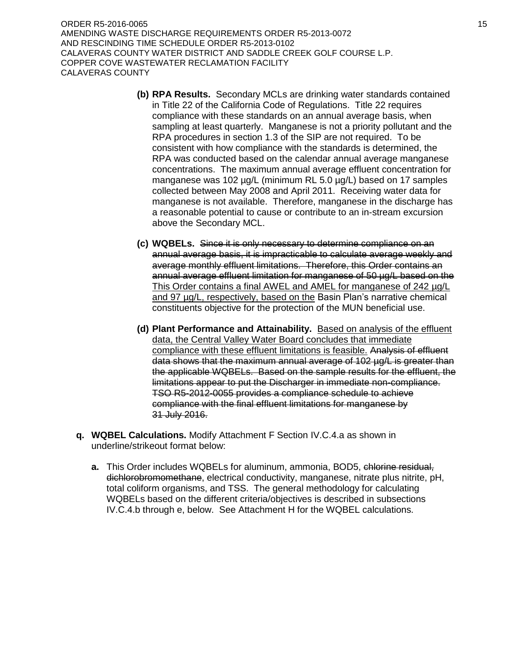ORDER R5-2016-0065 15 AMENDING WASTE DISCHARGE REQUIREMENTS ORDER R5-2013-0072 AND RESCINDING TIME SCHEDULE ORDER R5-2013-0102 CALAVERAS COUNTY WATER DISTRICT AND SADDLE CREEK GOLF COURSE L.P. COPPER COVE WASTEWATER RECLAMATION FACILITY CALAVERAS COUNTY

- **(b) RPA Results.** Secondary MCLs are drinking water standards contained in Title 22 of the California Code of Regulations. Title 22 requires compliance with these standards on an annual average basis, when sampling at least quarterly. Manganese is not a priority pollutant and the RPA procedures in section 1.3 of the SIP are not required. To be consistent with how compliance with the standards is determined, the RPA was conducted based on the calendar annual average manganese concentrations. The maximum annual average effluent concentration for manganese was 102 µg/L (minimum RL 5.0 µg/L) based on 17 samples collected between May 2008 and April 2011. Receiving water data for manganese is not available. Therefore, manganese in the discharge has a reasonable potential to cause or contribute to an in-stream excursion above the Secondary MCL.
- **(c) WQBELs.** Since it is only necessary to determine compliance on an annual average basis, it is impracticable to calculate average weekly and average monthly effluent limitations. Therefore, this Order contains an annual average effluent limitation for manganese of 50 ug/L based on the This Order contains a final AWEL and AMEL for manganese of 242 µg/L and 97 µg/L, respectively, based on the Basin Plan's narrative chemical constituents objective for the protection of the MUN beneficial use.
- **(d) Plant Performance and Attainability.** Based on analysis of the effluent data, the Central Valley Water Board concludes that immediate compliance with these effluent limitations is feasible. Analysis of effluent data shows that the maximum annual average of 102 µg/L is greater than the applicable WQBELs. Based on the sample results for the effluent, the limitations appear to put the Discharger in immediate non-compliance. TSO R5-2012-0055 provides a compliance schedule to achieve compliance with the final effluent limitations for manganese by 31 July 2016.
- **q. WQBEL Calculations.** Modify Attachment F Section IV.C.4.a as shown in underline/strikeout format below:
	- **a.** This Order includes WQBELs for aluminum, ammonia, BOD5, chlorine residual, dichlorobromomethane, electrical conductivity, manganese, nitrate plus nitrite, pH, total coliform organisms, and TSS. The general methodology for calculating WQBELs based on the different criteria/objectives is described in subsections IV.C.4.b through e, below. See Attachment H for the WQBEL calculations.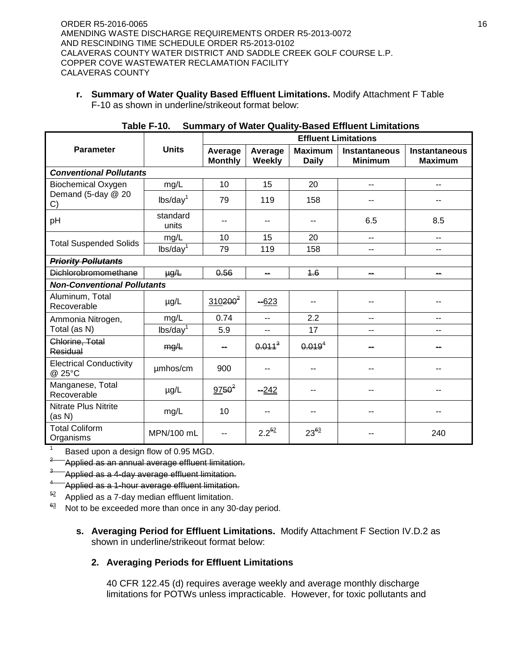**r. Summary of Water Quality Based Effluent Limitations.** Modify Attachment F Table F-10 as shown in underline/strikeout format below:

|                                          |                      |                           |                          | <b>Effluent Limitations</b>    |                                        |                                        |
|------------------------------------------|----------------------|---------------------------|--------------------------|--------------------------------|----------------------------------------|----------------------------------------|
| <b>Parameter</b>                         | <b>Units</b>         | Average<br><b>Monthly</b> | Average<br><b>Weekly</b> | <b>Maximum</b><br><b>Daily</b> | <b>Instantaneous</b><br><b>Minimum</b> | <b>Instantaneous</b><br><b>Maximum</b> |
| <b>Conventional Pollutants</b>           |                      |                           |                          |                                |                                        |                                        |
| <b>Biochemical Oxygen</b>                | mg/L                 | 10                        | 15                       | 20                             | $-$                                    | --                                     |
| Demand (5-day @ 20<br>C)                 | lbs/day <sup>1</sup> | 79                        | 119                      | 158                            |                                        |                                        |
| pH                                       | standard<br>units    | --                        | --                       | --                             | 6.5                                    | 8.5                                    |
| <b>Total Suspended Solids</b>            | mg/L                 | 10                        | 15                       | 20                             | $-1$                                   | $-$                                    |
|                                          | lbs/day <sup>1</sup> | 79                        | 119                      | 158                            | --                                     | ۰.                                     |
| <b>Priority Pollutants</b>               |                      |                           |                          |                                |                                        |                                        |
| <b>Dichlorobromomethane</b>              | $\mu g/L$            | 0.56                      | --                       | 4.6                            | --                                     | --                                     |
| <b>Non-Conventional Pollutants</b>       |                      |                           |                          |                                |                                        |                                        |
| Aluminum, Total<br>Recoverable           | $\mu$ g/L            | $310200^2$                | $-623$                   |                                |                                        |                                        |
| Ammonia Nitrogen,                        | mg/L                 | 0.74                      | $\overline{a}$           | 2.2                            | --                                     | $-$                                    |
| Total (as N)                             | lbs/day <sup>1</sup> | 5.9                       | --                       | 17                             | --                                     | --                                     |
| Chlorine, Total<br>Residual              | mg/L                 | --                        | $0.011^{3}$              | $0.019^{4}$                    |                                        |                                        |
| <b>Electrical Conductivity</b><br>@ 25°C | µmhos/cm             | 900                       |                          |                                |                                        |                                        |
| Manganese, Total<br>Recoverable          | $\mu$ g/L            | $9750^2$                  | $-242$                   |                                |                                        |                                        |
| <b>Nitrate Plus Nitrite</b><br>(as N)    | mg/L                 | 10                        |                          |                                |                                        |                                        |
| <b>Total Coliform</b><br>Organisms       | MPN/100 mL           |                           | $2.2^{52}$               | $23^{63}$                      |                                        | 240                                    |

| Table F-10. Summary of Water Quality-Based Effluent Limitations |  |  |  |
|-----------------------------------------------------------------|--|--|--|
|-----------------------------------------------------------------|--|--|--|

1 Based upon a design flow of 0.95 MGD.

2 Applied as an annual average effluent limitation.

 $^3$   $\!\!-\!\!$  Applied as a 4-day average effluent limitation.

<sup>4</sup> Applied as a 1-hour average effluent limitation.

 $52$  Applied as a 7-day median effluent limitation.

 $63$  Not to be exceeded more than once in any 30-day period.

**s. Averaging Period for Effluent Limitations.** Modify Attachment F Section IV.D.2 as shown in underline/strikeout format below:

# **2. Averaging Periods for Effluent Limitations**

40 CFR 122.45 (d) requires average weekly and average monthly discharge limitations for POTWs unless impracticable. However, for toxic pollutants and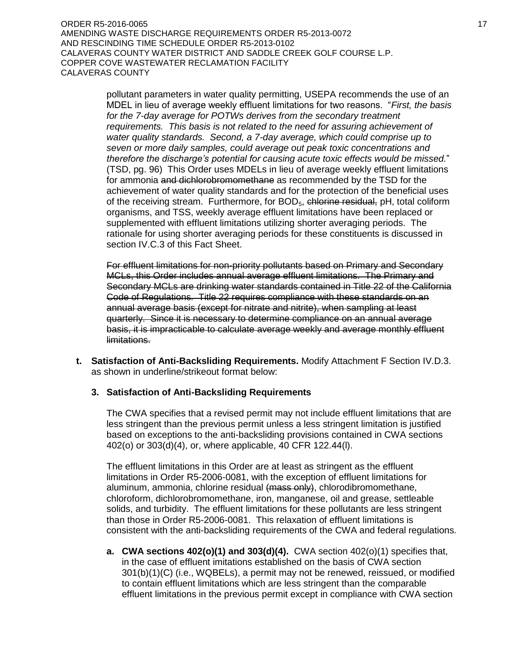pollutant parameters in water quality permitting, USEPA recommends the use of an MDEL in lieu of average weekly effluent limitations for two reasons. "*First, the basis for the 7-day average for POTWs derives from the secondary treatment requirements. This basis is not related to the need for assuring achievement of water quality standards. Second, a 7-day average, which could comprise up to seven or more daily samples, could average out peak toxic concentrations and therefore the discharge's potential for causing acute toxic effects would be missed.*" (TSD, pg. 96) This Order uses MDELs in lieu of average weekly effluent limitations for ammonia and dichlorobromomethane as recommended by the TSD for the achievement of water quality standards and for the protection of the beneficial uses of the receiving stream. Furthermore, for BOD<sub>5</sub>, chlorine residual, pH, total coliform organisms, and TSS, weekly average effluent limitations have been replaced or supplemented with effluent limitations utilizing shorter averaging periods. The rationale for using shorter averaging periods for these constituents is discussed in section IV.C.3 of this Fact Sheet.

For effluent limitations for non-priority pollutants based on Primary and Secondary MCLs, this Order includes annual average effluent limitations. The Primary and Secondary MCLs are drinking water standards contained in Title 22 of the California Code of Regulations. Title 22 requires compliance with these standards on an annual average basis (except for nitrate and nitrite), when sampling at least quarterly. Since it is necessary to determine compliance on an annual average basis, it is impracticable to calculate average weekly and average monthly effluent limitations.

**t. Satisfaction of Anti-Backsliding Requirements.** Modify Attachment F Section IV.D.3. as shown in underline/strikeout format below:

# **3. Satisfaction of Anti-Backsliding Requirements**

The CWA specifies that a revised permit may not include effluent limitations that are less stringent than the previous permit unless a less stringent limitation is justified based on exceptions to the anti-backsliding provisions contained in CWA sections 402(o) or 303(d)(4), or, where applicable, 40 CFR 122.44(l).

The effluent limitations in this Order are at least as stringent as the effluent limitations in Order R5-2006-0081, with the exception of effluent limitations for aluminum, ammonia, chlorine residual (mass only), chlorodibromomethane, chloroform, dichlorobromomethane, iron, manganese, oil and grease, settleable solids, and turbidity. The effluent limitations for these pollutants are less stringent than those in Order R5-2006-0081. This relaxation of effluent limitations is consistent with the anti-backsliding requirements of the CWA and federal regulations.

**a. CWA sections 402(o)(1) and 303(d)(4).** CWA section 402(o)(1) specifies that, in the case of effluent imitations established on the basis of CWA section 301(b)(1)(C) (i.e., WQBELs), a permit may not be renewed, reissued, or modified to contain effluent limitations which are less stringent than the comparable effluent limitations in the previous permit except in compliance with CWA section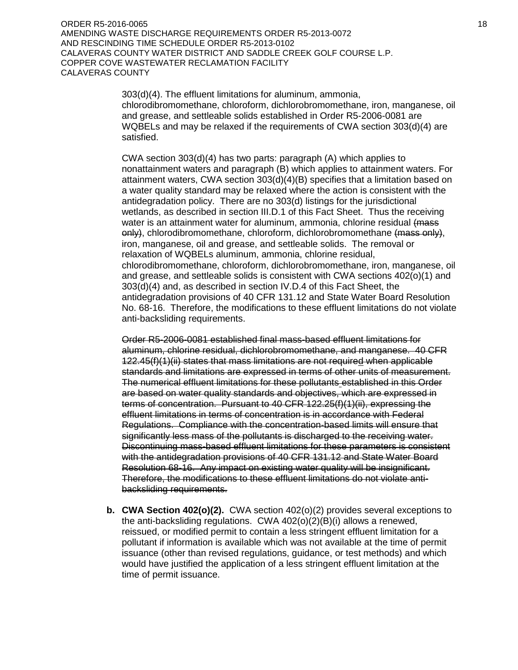ORDER R5-2016-0065 18 and 2018 18 and 2018 18 and 2018 18 and 2018 18 and 2018 18 and 2018 18 and 2018 18 and AMENDING WASTE DISCHARGE REQUIREMENTS ORDER R5-2013-0072 AND RESCINDING TIME SCHEDULE ORDER R5-2013-0102 CALAVERAS COUNTY WATER DISTRICT AND SADDLE CREEK GOLF COURSE L.P. COPPER COVE WASTEWATER RECLAMATION FACILITY CALAVERAS COUNTY

> 303(d)(4). The effluent limitations for aluminum, ammonia, chlorodibromomethane, chloroform, dichlorobromomethane, iron, manganese, oil and grease, and settleable solids established in Order R5-2006-0081 are WQBELs and may be relaxed if the requirements of CWA section 303(d)(4) are satisfied.

> CWA section 303(d)(4) has two parts: paragraph (A) which applies to nonattainment waters and paragraph (B) which applies to attainment waters. For attainment waters, CWA section 303(d)(4)(B) specifies that a limitation based on a water quality standard may be relaxed where the action is consistent with the antidegradation policy. There are no 303(d) listings for the jurisdictional wetlands, as described in section III.D.1 of this Fact Sheet. Thus the receiving water is an attainment water for aluminum, ammonia, chlorine residual (mass only), chlorodibromomethane, chloroform, dichlorobromomethane (mass only), iron, manganese, oil and grease, and settleable solids. The removal or relaxation of WQBELs aluminum, ammonia, chlorine residual, chlorodibromomethane, chloroform, dichlorobromomethane, iron, manganese, oil and grease, and settleable solids is consistent with CWA sections 402(o)(1) and 303(d)(4) and, as described in section IV.D.4 of this Fact Sheet, the antidegradation provisions of 40 CFR 131.12 and State Water Board Resolution No. 68-16. Therefore, the modifications to these effluent limitations do not violate anti-backsliding requirements.

Order R5-2006-0081 established final mass-based effluent limitations for aluminum, chlorine residual, dichlorobromomethane, and manganese. 40 CFR 122.45(f)(1)(ii) states that mass limitations are not required when applicable standards and limitations are expressed in terms of other units of measurement. The numerical effluent limitations for these pollutants established in this Order are based on water quality standards and objectives, which are expressed in terms of concentration. Pursuant to 40 CFR 122.25(f)(1)(ii), expressing the effluent limitations in terms of concentration is in accordance with Federal Regulations. Compliance with the concentration-based limits will ensure that significantly less mass of the pollutants is discharged to the receiving water. Discontinuing mass-based effluent limitations for these parameters is consistent with the antidegradation provisions of 40 CFR 131.12 and State Water Board Resolution 68-16. Any impact on existing water quality will be insignificant. Therefore, the modifications to these effluent limitations do not violate antibacksliding requirements.

**b. CWA Section 402(o)(2).** CWA section 402(o)(2) provides several exceptions to the anti-backsliding regulations. CWA 402(o)(2)(B)(i) allows a renewed, reissued, or modified permit to contain a less stringent effluent limitation for a pollutant if information is available which was not available at the time of permit issuance (other than revised regulations, guidance, or test methods) and which would have justified the application of a less stringent effluent limitation at the time of permit issuance.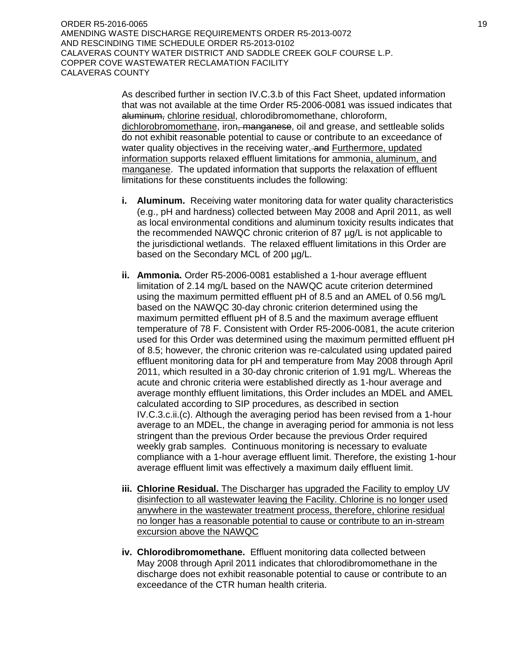ORDER R5-2016-0065 19 AMENDING WASTE DISCHARGE REQUIREMENTS ORDER R5-2013-0072 AND RESCINDING TIME SCHEDULE ORDER R5-2013-0102 CALAVERAS COUNTY WATER DISTRICT AND SADDLE CREEK GOLF COURSE L.P. COPPER COVE WASTEWATER RECLAMATION FACILITY CALAVERAS COUNTY

> As described further in section IV.C.3.b of this Fact Sheet, updated information that was not available at the time Order R5-2006-0081 was issued indicates that aluminum, chlorine residual, chlorodibromomethane, chloroform, dichlorobromomethane, iron<del>, manganese</del>, oil and grease, and settleable solids do not exhibit reasonable potential to cause or contribute to an exceedance of water quality objectives in the receiving water. and Furthermore, updated information supports relaxed effluent limitations for ammonia, aluminum, and manganese. The updated information that supports the relaxation of effluent limitations for these constituents includes the following:

- **i. Aluminum.** Receiving water monitoring data for water quality characteristics (e.g., pH and hardness) collected between May 2008 and April 2011, as well as local environmental conditions and aluminum toxicity results indicates that the recommended NAWQC chronic criterion of 87 µg/L is not applicable to the jurisdictional wetlands. The relaxed effluent limitations in this Order are based on the Secondary MCL of 200 µg/L.
- **ii. Ammonia.** Order R5-2006-0081 established a 1-hour average effluent limitation of 2.14 mg/L based on the NAWQC acute criterion determined using the maximum permitted effluent pH of 8.5 and an AMEL of 0.56 mg/L based on the NAWQC 30-day chronic criterion determined using the maximum permitted effluent pH of 8.5 and the maximum average effluent temperature of 78 F. Consistent with Order R5-2006-0081, the acute criterion used for this Order was determined using the maximum permitted effluent pH of 8.5; however, the chronic criterion was re-calculated using updated paired effluent monitoring data for pH and temperature from May 2008 through April 2011, which resulted in a 30-day chronic criterion of 1.91 mg/L. Whereas the acute and chronic criteria were established directly as 1-hour average and average monthly effluent limitations, this Order includes an MDEL and AMEL calculated according to SIP procedures, as described in section IV.C.3.c.ii.(c). Although the averaging period has been revised from a 1-hour average to an MDEL, the change in averaging period for ammonia is not less stringent than the previous Order because the previous Order required weekly grab samples. Continuous monitoring is necessary to evaluate compliance with a 1-hour average effluent limit. Therefore, the existing 1-hour average effluent limit was effectively a maximum daily effluent limit.
- **iii. Chlorine Residual.** The Discharger has upgraded the Facility to employ UV disinfection to all wastewater leaving the Facility. Chlorine is no longer used anywhere in the wastewater treatment process, therefore, chlorine residual no longer has a reasonable potential to cause or contribute to an in-stream excursion above the NAWQC
- **iv. Chlorodibromomethane.** Effluent monitoring data collected between May 2008 through April 2011 indicates that chlorodibromomethane in the discharge does not exhibit reasonable potential to cause or contribute to an exceedance of the CTR human health criteria.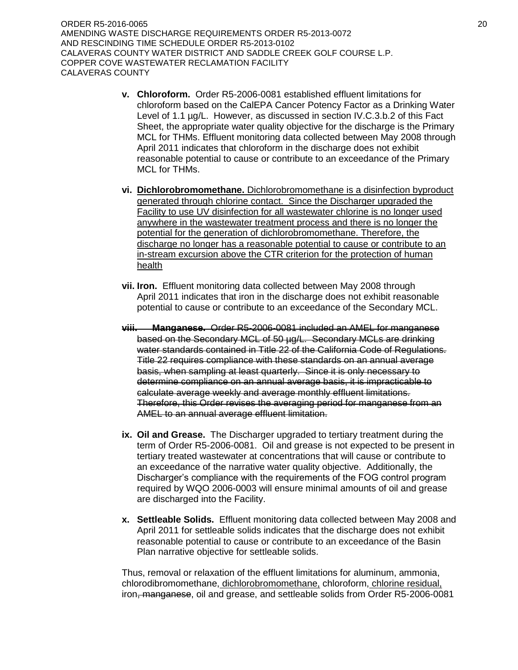ORDER R5-2016-0065 20 AMENDING WASTE DISCHARGE REQUIREMENTS ORDER R5-2013-0072 AND RESCINDING TIME SCHEDULE ORDER R5-2013-0102 CALAVERAS COUNTY WATER DISTRICT AND SADDLE CREEK GOLF COURSE L.P. COPPER COVE WASTEWATER RECLAMATION FACILITY CALAVERAS COUNTY

- **v. Chloroform.** Order R5-2006-0081 established effluent limitations for chloroform based on the CalEPA Cancer Potency Factor as a Drinking Water Level of 1.1 µg/L. However, as discussed in section IV.C.3.b.2 of this Fact Sheet, the appropriate water quality objective for the discharge is the Primary MCL for THMs. Effluent monitoring data collected between May 2008 through April 2011 indicates that chloroform in the discharge does not exhibit reasonable potential to cause or contribute to an exceedance of the Primary MCL for THMs.
- **vi. Dichlorobromomethane.** Dichlorobromomethane is a disinfection byproduct generated through chlorine contact. Since the Discharger upgraded the Facility to use UV disinfection for all wastewater chlorine is no longer used anywhere in the wastewater treatment process and there is no longer the potential for the generation of dichlorobromomethane. Therefore, the discharge no longer has a reasonable potential to cause or contribute to an in-stream excursion above the CTR criterion for the protection of human health
- **vii. Iron.** Effluent monitoring data collected between May 2008 through April 2011 indicates that iron in the discharge does not exhibit reasonable potential to cause or contribute to an exceedance of the Secondary MCL.
- **viii. Manganese.** Order R5-2006-0081 included an AMEL for manganese based on the Secondary MCL of 50 µg/L. Secondary MCLs are drinking water standards contained in Title 22 of the California Code of Regulations. Title 22 requires compliance with these standards on an annual average basis, when sampling at least quarterly. Since it is only necessary to determine compliance on an annual average basis, it is impracticable to calculate average weekly and average monthly effluent limitations. Therefore, this Order revises the averaging period for manganese from an AMEL to an annual average effluent limitation.
- **ix. Oil and Grease.** The Discharger upgraded to tertiary treatment during the term of Order R5-2006-0081. Oil and grease is not expected to be present in tertiary treated wastewater at concentrations that will cause or contribute to an exceedance of the narrative water quality objective. Additionally, the Discharger's compliance with the requirements of the FOG control program required by WQO 2006-0003 will ensure minimal amounts of oil and grease are discharged into the Facility.
- **x. Settleable Solids.** Effluent monitoring data collected between May 2008 and April 2011 for settleable solids indicates that the discharge does not exhibit reasonable potential to cause or contribute to an exceedance of the Basin Plan narrative objective for settleable solids.

Thus, removal or relaxation of the effluent limitations for aluminum, ammonia, chlorodibromomethane, dichlorobromomethane, chloroform, chlorine residual, iron, manganese, oil and grease, and settleable solids from Order R5-2006-0081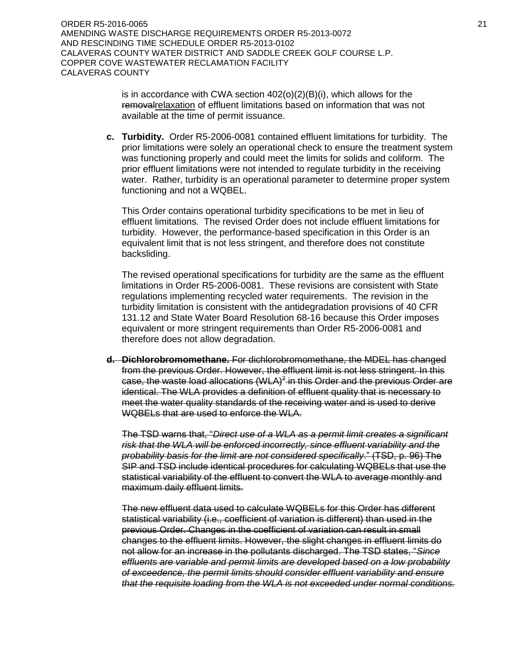ORDER R5-2016-0065 21 AMENDING WASTE DISCHARGE REQUIREMENTS ORDER R5-2013-0072 AND RESCINDING TIME SCHEDULE ORDER R5-2013-0102 CALAVERAS COUNTY WATER DISTRICT AND SADDLE CREEK GOLF COURSE L.P. COPPER COVE WASTEWATER RECLAMATION FACILITY CALAVERAS COUNTY

> is in accordance with CWA section 402(o)(2)(B)(i), which allows for the removalrelaxation of effluent limitations based on information that was not available at the time of permit issuance.

**c. Turbidity.** Order R5-2006-0081 contained effluent limitations for turbidity. The prior limitations were solely an operational check to ensure the treatment system was functioning properly and could meet the limits for solids and coliform. The prior effluent limitations were not intended to regulate turbidity in the receiving water. Rather, turbidity is an operational parameter to determine proper system functioning and not a WQBEL.

This Order contains operational turbidity specifications to be met in lieu of effluent limitations. The revised Order does not include effluent limitations for turbidity. However, the performance-based specification in this Order is an equivalent limit that is not less stringent, and therefore does not constitute backsliding.

The revised operational specifications for turbidity are the same as the effluent limitations in Order R5-2006-0081. These revisions are consistent with State regulations implementing recycled water requirements. The revision in the turbidity limitation is consistent with the antidegradation provisions of 40 CFR 131.12 and State Water Board Resolution 68-16 because this Order imposes equivalent or more stringent requirements than Order R5-2006-0081 and therefore does not allow degradation.

**d. Dichlorobromomethane.** For dichlorobromomethane, the MDEL has changed from the previous Order. However, the effluent limit is not less stringent. In this case, the waste load allocations (WLA)<sup>2</sup> in this Order and the previous Order are identical. The WLA provides a definition of effluent quality that is necessary to meet the water quality standards of the receiving water and is used to derive WQBELs that are used to enforce the WLA.

The TSD warns that, "*Direct use of a WLA as a permit limit creates a significant risk that the WLA will be enforced incorrectly, since effluent variability and the probability basis for the limit are not considered specifically*." (TSD, p. 96) The SIP and TSD include identical procedures for calculating WQBELs that use the statistical variability of the effluent to convert the WLA to average monthly and maximum daily effluent limits.

The new effluent data used to calculate WQBELs for this Order has different statistical variability (i.e., coefficient of variation is different) than used in the previous Order. Changes in the coefficient of variation can result in small changes to the effluent limits. However, the slight changes in effluent limits do not allow for an increase in the pollutants discharged. The TSD states, "*Since effluents are variable and permit limits are developed based on a low probability of exceedence, the permit limits should consider effluent variability and ensure that the requisite loading from the WLA is not exceeded under normal conditions.*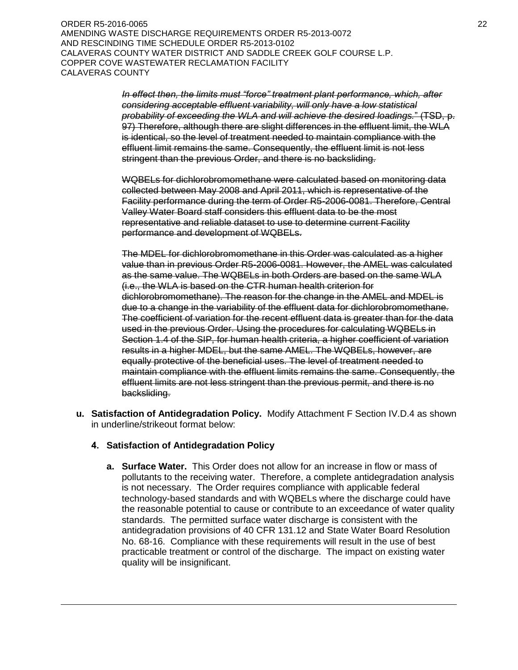ORDER R5-2016-0065 22 AMENDING WASTE DISCHARGE REQUIREMENTS ORDER R5-2013-0072 AND RESCINDING TIME SCHEDULE ORDER R5-2013-0102 CALAVERAS COUNTY WATER DISTRICT AND SADDLE CREEK GOLF COURSE L.P. COPPER COVE WASTEWATER RECLAMATION FACILITY CALAVERAS COUNTY

> *In effect then, the limits must "force" treatment plant performance, which, after considering acceptable effluent variability, will only have a low statistical probability of exceeding the WLA and will achieve the desired loadings.*" (TSD, p. 97) Therefore, although there are slight differences in the effluent limit, the WLA is identical, so the level of treatment needed to maintain compliance with the effluent limit remains the same. Consequently, the effluent limit is not less stringent than the previous Order, and there is no backsliding.

WQBELs for dichlorobromomethane were calculated based on monitoring data collected between May 2008 and April 2011, which is representative of the Facility performance during the term of Order R5-2006-0081. Therefore, Central Valley Water Board staff considers this effluent data to be the most representative and reliable dataset to use to determine current Facility performance and development of WQBELs.

The MDEL for dichlorobromomethane in this Order was calculated as a higher value than in previous Order R5-2006-0081. However, the AMEL was calculated as the same value. The WQBELs in both Orders are based on the same WLA (i.e., the WLA is based on the CTR human health criterion for dichlorobromomethane). The reason for the change in the AMEL and MDEL is due to a change in the variability of the effluent data for dichlorobromomethane. The coefficient of variation for the recent effluent data is greater than for the data used in the previous Order. Using the procedures for calculating WQBELs in Section 1.4 of the SIP, for human health criteria, a higher coefficient of variation results in a higher MDEL, but the same AMEL. The WQBELs, however, are equally protective of the beneficial uses. The level of treatment needed to maintain compliance with the effluent limits remains the same. Consequently, the effluent limits are not less stringent than the previous permit, and there is no backsliding.

**u. Satisfaction of Antidegradation Policy.** Modify Attachment F Section IV.D.4 as shown in underline/strikeout format below:

## **4. Satisfaction of Antidegradation Policy**

 $\overline{a}$ 

**a. Surface Water.** This Order does not allow for an increase in flow or mass of pollutants to the receiving water. Therefore, a complete antidegradation analysis is not necessary. The Order requires compliance with applicable federal technology-based standards and with WQBELs where the discharge could have the reasonable potential to cause or contribute to an exceedance of water quality standards. The permitted surface water discharge is consistent with the antidegradation provisions of 40 CFR 131.12 and State Water Board Resolution No. 68-16. Compliance with these requirements will result in the use of best practicable treatment or control of the discharge. The impact on existing water quality will be insignificant.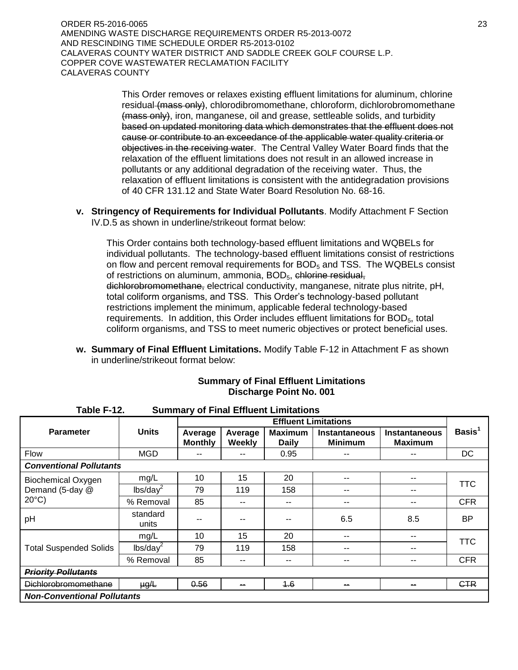ORDER R5-2016-0065 23 AMENDING WASTE DISCHARGE REQUIREMENTS ORDER R5-2013-0072 AND RESCINDING TIME SCHEDULE ORDER R5-2013-0102 CALAVERAS COUNTY WATER DISTRICT AND SADDLE CREEK GOLF COURSE L.P. COPPER COVE WASTEWATER RECLAMATION FACILITY CALAVERAS COUNTY

> This Order removes or relaxes existing effluent limitations for aluminum, chlorine residual (mass only), chlorodibromomethane, chloroform, dichlorobromomethane (mass only), iron, manganese, oil and grease, settleable solids, and turbidity based on updated monitoring data which demonstrates that the effluent does not cause or contribute to an exceedance of the applicable water quality criteria or objectives in the receiving water. The Central Valley Water Board finds that the relaxation of the effluent limitations does not result in an allowed increase in pollutants or any additional degradation of the receiving water. Thus, the relaxation of effluent limitations is consistent with the antidegradation provisions of 40 CFR 131.12 and State Water Board Resolution No. 68-16.

**v. Stringency of Requirements for Individual Pollutants**. Modify Attachment F Section IV.D.5 as shown in underline/strikeout format below:

This Order contains both technology-based effluent limitations and WQBELs for individual pollutants. The technology-based effluent limitations consist of restrictions on flow and percent removal requirements for BOD<sub>5</sub> and TSS. The WQBELs consist of restrictions on aluminum, ammonia, BOD<sub>5</sub>, chlorine residual, dichlorobromomethane, electrical conductivity, manganese, nitrate plus nitrite, pH, total coliform organisms, and TSS. This Order's technology-based pollutant restrictions implement the minimum, applicable federal technology-based requirements. In addition, this Order includes effluent limitations for  $BOD<sub>5</sub>$ , total coliform organisms, and TSS to meet numeric objectives or protect beneficial uses.

**w. Summary of Final Effluent Limitations.** Modify Table F-12 in Attachment F as shown in underline/strikeout format below:

| Table F-12.                        |                      |                                                |     | <b>Summary of Final Effluent Limitations</b> |                                        |                                 |                    |
|------------------------------------|----------------------|------------------------------------------------|-----|----------------------------------------------|----------------------------------------|---------------------------------|--------------------|
|                                    |                      |                                                |     | <b>Effluent Limitations</b>                  |                                        |                                 |                    |
| <b>Parameter</b>                   | <b>Units</b>         | Average<br>Average<br><b>Monthly</b><br>Weekly |     | <b>Maximum</b><br><b>Daily</b>               | <b>Instantaneous</b><br><b>Minimum</b> | Instantaneous<br><b>Maximum</b> | Basis <sup>1</sup> |
| <b>Flow</b>                        | <b>MGD</b>           | --                                             | --  | 0.95                                         | --                                     | --                              | DC                 |
| <b>Conventional Pollutants</b>     |                      |                                                |     |                                              |                                        |                                 |                    |
| <b>Biochemical Oxygen</b>          | mg/L                 | 10                                             | 15  | 20                                           | --                                     | --                              |                    |
| Demand (5-day @                    | lbs/day <sup>2</sup> | 79                                             | 119 | 158                                          | --                                     | --                              | TTC                |
| $20^{\circ}$ C)                    | % Removal            | 85                                             | --  | $- -$                                        | --                                     | $- -$                           | <b>CFR</b>         |
| pH                                 | standard<br>units    | --                                             |     |                                              | 6.5                                    | 8.5                             | BP                 |
|                                    | mg/L                 | 10                                             | 15  | 20                                           | --                                     | --                              |                    |
| <b>Total Suspended Solids</b>      | lbs/day <sup>2</sup> | 79                                             | 119 | 158                                          | --                                     | --                              | TTC                |
|                                    | % Removal            | 85                                             | --  | $- -$                                        | --                                     | --                              | <b>CFR</b>         |
| <b>Priority Pollutants</b>         |                      |                                                |     |                                              |                                        |                                 |                    |
| <u>Dichlorobromomethane</u>        | $\mu g/L$            | 0.56                                           | --  | 4.6                                          | --                                     | --                              | <b>CTR</b>         |
| <b>Non-Conventional Pollutants</b> |                      |                                                |     |                                              |                                        |                                 |                    |

## **Summary of Final Effluent Limitations Discharge Point No. 001**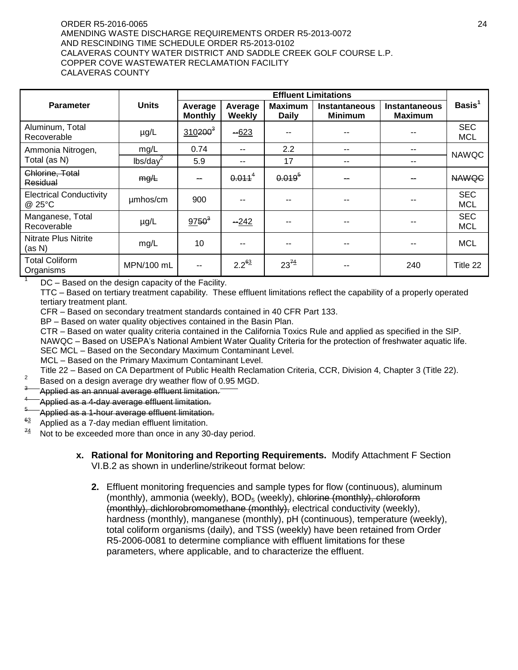#### ORDER R5-2016-0065 24 AMENDING WASTE DISCHARGE REQUIREMENTS ORDER R5-2013-0072 AND RESCINDING TIME SCHEDULE ORDER R5-2013-0102 CALAVERAS COUNTY WATER DISTRICT AND SADDLE CREEK GOLF COURSE L.P. COPPER COVE WASTEWATER RECLAMATION FACILITY CALAVERAS COUNTY

|                                          |                      |                                                |                    | <b>Effluent Limitations</b> |                                 |                                        |                          |
|------------------------------------------|----------------------|------------------------------------------------|--------------------|-----------------------------|---------------------------------|----------------------------------------|--------------------------|
| <b>Parameter</b>                         | <b>Units</b>         | Average<br>Average<br>Weekly<br><b>Monthly</b> |                    | Maximum<br><b>Daily</b>     | Instantaneous<br><b>Minimum</b> | <b>Instantaneous</b><br><b>Maximum</b> | Basis <sup>1</sup>       |
| Aluminum, Total<br>Recoverable           | $\mu$ g/L            | $310200^3$                                     | $-623$             |                             |                                 |                                        | <b>SEC</b><br><b>MCL</b> |
| Ammonia Nitrogen,                        | mg/L                 | 0.74                                           | --                 | 2.2                         | --                              | --                                     | <b>NAWQC</b>             |
| Total (as N)                             | lbs/day <sup>2</sup> | 5.9                                            | --                 | 17                          | --                              | --                                     |                          |
| Chlorine, Total<br>Residual              | mg/L                 | --                                             | 0.011 <sup>4</sup> | $0.019^{5}$                 |                                 |                                        | <b>NAWQC</b>             |
| <b>Electrical Conductivity</b><br>@ 25°C | umhos/cm             | 900                                            | --                 |                             |                                 |                                        | <b>SEC</b><br><b>MCL</b> |
| Manganese, Total<br>Recoverable          | $\mu$ g/L            | $9750^{3}$                                     | $-242$             |                             |                                 |                                        | <b>SEC</b><br><b>MCL</b> |
| Nitrate Plus Nitrite<br>(as N)           | mg/L                 | 10                                             | --                 |                             |                                 |                                        | <b>MCL</b>               |
| <b>Total Coliform</b><br>Organisms       | MPN/100 mL           | $- -$                                          | $2.2^{63}$         | $23^{74}$                   |                                 | 240                                    | Title 22                 |

 $1^{\circ}$  DC – Based on the design capacity of the Facility.

TTC – Based on tertiary treatment capability. These effluent limitations reflect the capability of a properly operated tertiary treatment plant.

CFR – Based on secondary treatment standards contained in 40 CFR Part 133.

BP – Based on water quality objectives contained in the Basin Plan.

CTR – Based on water quality criteria contained in the California Toxics Rule and applied as specified in the SIP. NAWQC – Based on USEPA's National Ambient Water Quality Criteria for the protection of freshwater aquatic life. SEC MCL – Based on the Secondary Maximum Contaminant Level.

MCL – Based on the Primary Maximum Contaminant Level.

Title 22 – Based on CA Department of Public Health Reclamation Criteria, CCR, Division 4, Chapter 3 (Title 22).

- 2 Based on a design average dry weather flow of 0.95 MGD.
- 3 Applied as an annual average effluent limitation.
- 4 Applied as a 4-day average effluent limitation.
- 5 Applied as a 1-hour average effluent limitation.
- 63 Applied as a 7-day median effluent limitation.
- $\frac{74}{2}$  Not to be exceeded more than once in any 30-day period.
	- **x. Rational for Monitoring and Reporting Requirements.** Modify Attachment F Section VI.B.2 as shown in underline/strikeout format below:
		- **2.** Effluent monitoring frequencies and sample types for flow (continuous), aluminum (monthly), ammonia (weekly), BOD<sub>5</sub> (weekly), chlorine (monthly), chloroform (monthly), dichlorobromomethane (monthly), electrical conductivity (weekly), hardness (monthly), manganese (monthly), pH (continuous), temperature (weekly), total coliform organisms (daily), and TSS (weekly) have been retained from Order R5-2006-0081 to determine compliance with effluent limitations for these parameters, where applicable, and to characterize the effluent.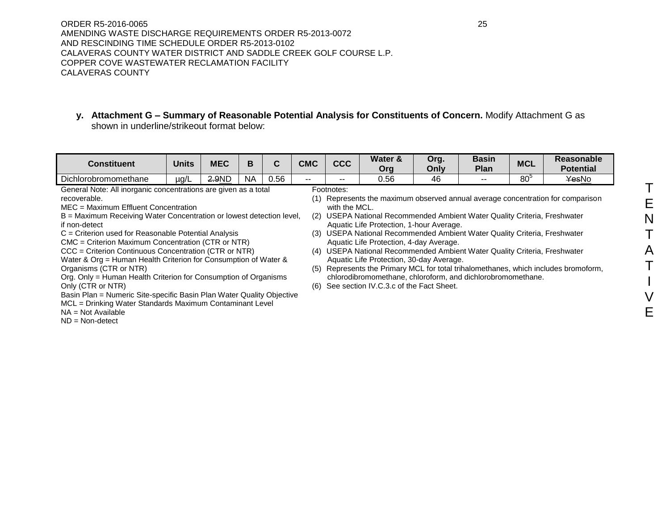ORDER R5-2016-0065 25 AMENDING WASTE DISCHARGE REQUIREMENTS ORDER R5-2013-0072 AND RESCINDING TIME SCHEDULE ORDER R5-2013-0102 CALAVERAS COUNTY WATER DISTRICT AND SADDLE CREEK GOLF COURSE L.P. COPPER COVE WASTEWATER RECLAMATION FACILITY CALAVERAS COUNTY

**y. Attachment G – Summary of Reasonable Potential Analysis for Constituents of Concern.** Modify Attachment G as shown in underline/strikeout format below:

| <b>Constituent</b>                                                    | <b>Units</b> | <b>MEC</b> | B   | C    | <b>CMC</b> | <b>CCC</b>                               | Water &<br>Org                                                        | Org.<br>Only | <b>Basin</b><br><b>Plan</b> | <b>MCL</b>      | Reasonable<br><b>Potential</b>                                                  |  |  |
|-----------------------------------------------------------------------|--------------|------------|-----|------|------------|------------------------------------------|-----------------------------------------------------------------------|--------------|-----------------------------|-----------------|---------------------------------------------------------------------------------|--|--|
| Dichlorobromomethane                                                  | µg/L         | 2.9ND      | NA. | 0.56 | $- -$      |                                          | 0.56                                                                  | 46           |                             | 80 <sup>5</sup> | YesNo                                                                           |  |  |
| General Note: All inorganic concentrations are given as a total       |              |            |     |      |            | Footnotes:                               |                                                                       |              |                             |                 |                                                                                 |  |  |
| recoverable.                                                          |              |            |     |      |            |                                          |                                                                       |              |                             |                 | (1) Represents the maximum observed annual average concentration for comparison |  |  |
| MEC = Maximum Effluent Concentration                                  |              |            |     |      |            | with the MCL.                            |                                                                       |              |                             |                 |                                                                                 |  |  |
| B = Maximum Receiving Water Concentration or lowest detection level,  |              |            |     |      | (2)        |                                          | USEPA National Recommended Ambient Water Quality Criteria, Freshwater |              |                             |                 |                                                                                 |  |  |
| if non-detect                                                         |              |            |     |      |            | Aquatic Life Protection, 1-hour Average. |                                                                       |              |                             |                 |                                                                                 |  |  |
| C = Criterion used for Reasonable Potential Analysis                  |              |            |     |      | (3)        |                                          | USEPA National Recommended Ambient Water Quality Criteria, Freshwater |              |                             |                 |                                                                                 |  |  |
| CMC = Criterion Maximum Concentration (CTR or NTR)                    |              |            |     |      |            |                                          | Aquatic Life Protection, 4-day Average.                               |              |                             |                 |                                                                                 |  |  |
| CCC = Criterion Continuous Concentration (CTR or NTR)                 |              |            |     |      | (4)        |                                          | USEPA National Recommended Ambient Water Quality Criteria, Freshwater |              |                             |                 |                                                                                 |  |  |
| Water & Org = Human Health Criterion for Consumption of Water &       |              |            |     |      |            |                                          | Aquatic Life Protection, 30-day Average.                              |              |                             |                 |                                                                                 |  |  |
| Organisms (CTR or NTR)                                                |              |            |     |      | (5)        |                                          |                                                                       |              |                             |                 | Represents the Primary MCL for total trihalomethanes, which includes bromoform, |  |  |
| Org. Only = Human Health Criterion for Consumption of Organisms       |              |            |     |      |            |                                          | chlorodibromomethane, chloroform, and dichlorobromomethane.           |              |                             |                 |                                                                                 |  |  |
| Only (CTR or NTR)                                                     |              |            |     |      |            |                                          | (6) See section IV.C.3.c of the Fact Sheet.                           |              |                             |                 |                                                                                 |  |  |
| Basin Plan = Numeric Site-specific Basin Plan Water Quality Objective |              |            |     |      |            |                                          |                                                                       |              |                             |                 |                                                                                 |  |  |
| MCL = Drinking Water Standards Maximum Contaminant Level              |              |            |     |      |            |                                          |                                                                       |              |                             |                 |                                                                                 |  |  |
| $NA = Not Available$                                                  |              |            |     |      |            |                                          |                                                                       |              |                             |                 |                                                                                 |  |  |

 $ND = Non-detect$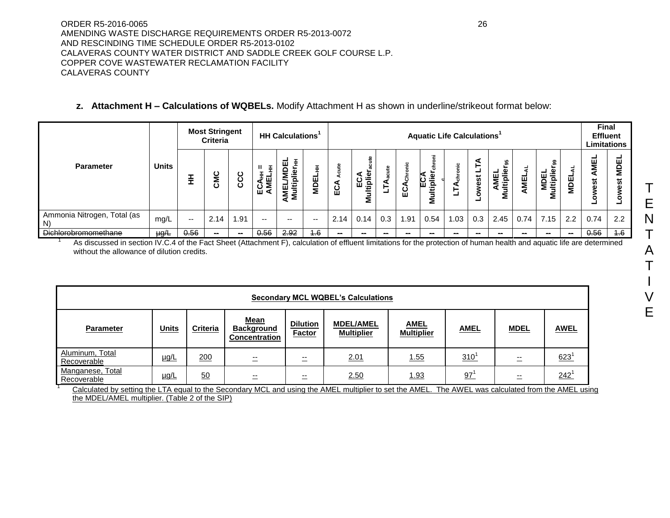# **z. Attachment H – Calculations of WQBELs.** Modify Attachment H as shown in underline/strikeout format below:

|                                                                                                                                                                                                       | <b>Most Stringent</b><br><b>Criteria</b> |       |                          | <b>HH Calculations</b> |               | <b>Aquatic Life Calculations<sup>1</sup></b> |                          |      |                  |     |                |                   |             | <b>Final</b><br><b>Effluent</b><br><b>Limitations</b> |                                   |      |                          |        |                  |             |
|-------------------------------------------------------------------------------------------------------------------------------------------------------------------------------------------------------|------------------------------------------|-------|--------------------------|------------------------|---------------|----------------------------------------------|--------------------------|------|------------------|-----|----------------|-------------------|-------------|-------------------------------------------------------|-----------------------------------|------|--------------------------|--------|------------------|-------------|
| <b>Parameter</b>                                                                                                                                                                                      | <b>Units</b>                             |       | CMC                      | ပ<br>ပ္ပ               | Ŧ<br>핗<br>⊔ັ≷ | Multiplie<br>ăΜ                              | 핌<br>Σ                   | ECA  | ECA<br>Ittiplien |     | ర్<br>∢<br>ပ္က | £CA<br>iplie<br>Σ | ⋖<br>⊢<br>┙ | est                                                   | s.<br>Φ<br>AMEL<br>Multiplie<br>— | 틸    | <b>MDEL</b><br>Multiplie | ᇤ<br>g | AMEL<br>est<br>ο | ш<br>g<br>5 |
| Ammonia Nitrogen, Total (as<br>N                                                                                                                                                                      | mg/L                                     | $- -$ | 2.14                     | 1.91                   | $- -$         | $- -$                                        | $\overline{\phantom{a}}$ | 2.14 | 0.14             | 0.3 | 1.91           | 0.54              | 1.03        | 0.3                                                   | 2.45                              | 0.74 | 7.15                     | 2.2    | 0.74             | 2.2         |
| <b>Dichlorobromomethane</b><br>As discussed in eastige BLC, A of the Foot Cheat (Attorhment F), coloulation of offluent limitations for the protection of bumon booth and caughie life are determined | $\mu g/L$                                | 0.56  | $\overline{\phantom{a}}$ | $\sim$                 | 0.56          | 2.92                                         | 4.6                      | $-$  | $-$              | $-$ | $-$            | $-$               | $- -$       | $\sim$                                                | $-$                               | $-$  | $\sim$                   | -      | 0.56             | 4.6         |

As discussed in section IV.C.4 of the Fact Sheet (Attachment F), calculation of effluent limitations for the protection of human health and aquatic life are determined without the allowance of dilution credits.

|                                 | <b>Secondary MCL WQBEL's Calculations</b>                                   |    |                                           |                                  |                                       |                                                 |     |             |             |  |  |  |  |
|---------------------------------|-----------------------------------------------------------------------------|----|-------------------------------------------|----------------------------------|---------------------------------------|-------------------------------------------------|-----|-------------|-------------|--|--|--|--|
| Parameter                       | Mean<br><b>Units</b><br><b>Criteria</b><br>200<br><u>µg/L</u><br>二<br>$- -$ |    | <b>Background</b><br><b>Concentration</b> | <b>Dilution</b><br><b>Factor</b> | <b>MDEL/AMEL</b><br><b>Multiplier</b> | <b>AMEL</b><br><b>AMEL</b><br><b>Multiplier</b> |     | <b>MDEL</b> | <b>AWEL</b> |  |  |  |  |
| Aluminum. Total<br>Recoverable  |                                                                             |    |                                           | --<br>$\overline{\phantom{0}}$   | 2.01                                  | <u>1.55</u>                                     | 310 | --          | 623         |  |  |  |  |
| Manganese, Total<br>Recoverable | $\mu$ g/L                                                                   | 50 |                                           | $- -$<br>—                       | 2.50                                  | 1.93                                            | 97  | $- -$       | $242^{1}$   |  |  |  |  |

Calculated by setting the LTA equal to the Secondary MCL and using the AMEL multiplier to set the AMEL. The AWEL was calculated from the AMEL using the MDEL/AMEL multiplier. (Table 2 of the SIP)